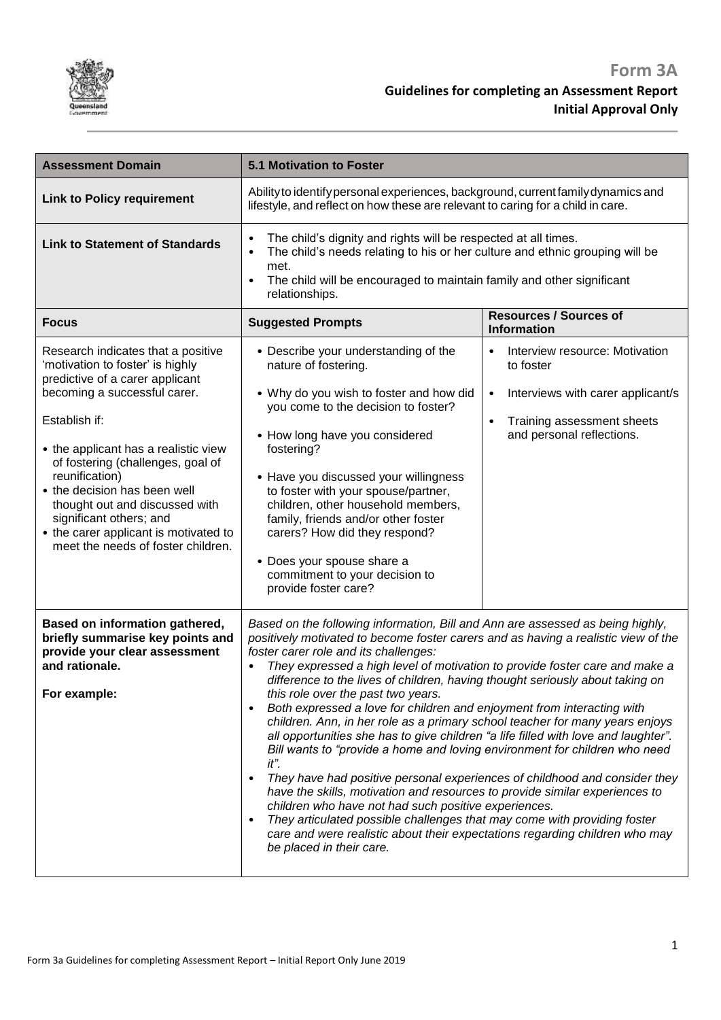

| <b>Assessment Domain</b>                                                                                                                                                                                                                                                                                                                                                                                                              | <b>5.1 Motivation to Foster</b>                                                                                                                                                                                                                                                                                                                                                                                                                                                                                                                                                                                                                                                                                                                                                                                                                                                                                                                                                                                                                                                                                                                                                                              |                                                                                                                                                                            |
|---------------------------------------------------------------------------------------------------------------------------------------------------------------------------------------------------------------------------------------------------------------------------------------------------------------------------------------------------------------------------------------------------------------------------------------|--------------------------------------------------------------------------------------------------------------------------------------------------------------------------------------------------------------------------------------------------------------------------------------------------------------------------------------------------------------------------------------------------------------------------------------------------------------------------------------------------------------------------------------------------------------------------------------------------------------------------------------------------------------------------------------------------------------------------------------------------------------------------------------------------------------------------------------------------------------------------------------------------------------------------------------------------------------------------------------------------------------------------------------------------------------------------------------------------------------------------------------------------------------------------------------------------------------|----------------------------------------------------------------------------------------------------------------------------------------------------------------------------|
| <b>Link to Policy requirement</b>                                                                                                                                                                                                                                                                                                                                                                                                     | Ability to identify personal experiences, background, current family dynamics and<br>lifestyle, and reflect on how these are relevant to caring for a child in care.                                                                                                                                                                                                                                                                                                                                                                                                                                                                                                                                                                                                                                                                                                                                                                                                                                                                                                                                                                                                                                         |                                                                                                                                                                            |
| <b>Link to Statement of Standards</b>                                                                                                                                                                                                                                                                                                                                                                                                 | The child's dignity and rights will be respected at all times.<br>٠<br>The child's needs relating to his or her culture and ethnic grouping will be<br>$\bullet$<br>met.<br>The child will be encouraged to maintain family and other significant<br>$\bullet$<br>relationships.                                                                                                                                                                                                                                                                                                                                                                                                                                                                                                                                                                                                                                                                                                                                                                                                                                                                                                                             |                                                                                                                                                                            |
| <b>Focus</b>                                                                                                                                                                                                                                                                                                                                                                                                                          | <b>Suggested Prompts</b>                                                                                                                                                                                                                                                                                                                                                                                                                                                                                                                                                                                                                                                                                                                                                                                                                                                                                                                                                                                                                                                                                                                                                                                     | <b>Resources / Sources of</b><br><b>Information</b>                                                                                                                        |
| Research indicates that a positive<br>'motivation to foster' is highly<br>predictive of a carer applicant<br>becoming a successful carer.<br>Establish if:<br>• the applicant has a realistic view<br>of fostering (challenges, goal of<br>reunification)<br>• the decision has been well<br>thought out and discussed with<br>significant others; and<br>• the carer applicant is motivated to<br>meet the needs of foster children. | • Describe your understanding of the<br>nature of fostering.<br>• Why do you wish to foster and how did<br>you come to the decision to foster?<br>• How long have you considered<br>fostering?<br>• Have you discussed your willingness<br>to foster with your spouse/partner,<br>children, other household members,<br>family, friends and/or other foster<br>carers? How did they respond?<br>• Does your spouse share a<br>commitment to your decision to<br>provide foster care?                                                                                                                                                                                                                                                                                                                                                                                                                                                                                                                                                                                                                                                                                                                         | Interview resource: Motivation<br>$\bullet$<br>to foster<br>Interviews with carer applicant/s<br>٠<br>Training assessment sheets<br>$\bullet$<br>and personal reflections. |
| Based on information gathered,<br>briefly summarise key points and<br>provide your clear assessment<br>and rationale.<br>For example:                                                                                                                                                                                                                                                                                                 | Based on the following information, Bill and Ann are assessed as being highly,<br>positively motivated to become foster carers and as having a realistic view of the<br>foster carer role and its challenges:<br>They expressed a high level of motivation to provide foster care and make a<br>difference to the lives of children, having thought seriously about taking on<br>this role over the past two years.<br>Both expressed a love for children and enjoyment from interacting with<br>$\bullet$<br>children. Ann, in her role as a primary school teacher for many years enjoys<br>all opportunities she has to give children "a life filled with love and laughter".<br>Bill wants to "provide a home and loving environment for children who need<br>it".<br>They have had positive personal experiences of childhood and consider they<br>$\bullet$<br>have the skills, motivation and resources to provide similar experiences to<br>children who have not had such positive experiences.<br>They articulated possible challenges that may come with providing foster<br>$\bullet$<br>care and were realistic about their expectations regarding children who may<br>be placed in their care. |                                                                                                                                                                            |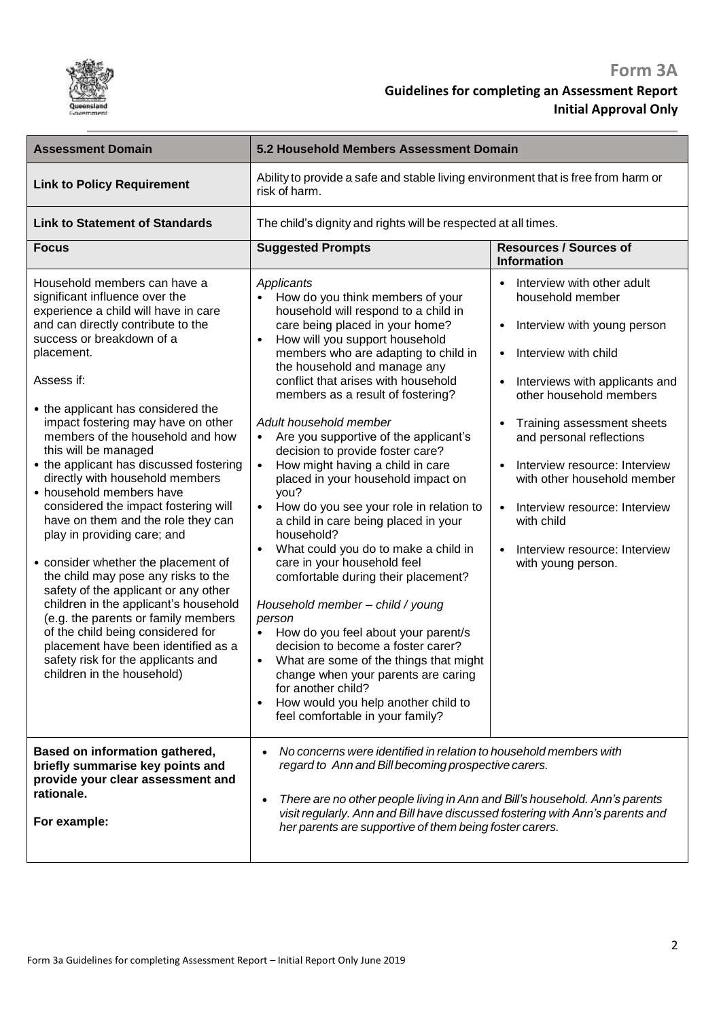

| <b>Assessment Domain</b>                                                                                                                                                                                                                                                                                                                                                                                                                                                                                                                                                                                                                                                                                                                                                                                                                                                                                                   | 5.2 Household Members Assessment Domain                                                                                                                                                                                                                                                                                                                                                                                                                                                                                                                                                                                                                                                                                                                                                                                                                                                                                                                                                                                                                                                                                         |                                                                                                                                                                                                                                                                                                                                                                                                                              |
|----------------------------------------------------------------------------------------------------------------------------------------------------------------------------------------------------------------------------------------------------------------------------------------------------------------------------------------------------------------------------------------------------------------------------------------------------------------------------------------------------------------------------------------------------------------------------------------------------------------------------------------------------------------------------------------------------------------------------------------------------------------------------------------------------------------------------------------------------------------------------------------------------------------------------|---------------------------------------------------------------------------------------------------------------------------------------------------------------------------------------------------------------------------------------------------------------------------------------------------------------------------------------------------------------------------------------------------------------------------------------------------------------------------------------------------------------------------------------------------------------------------------------------------------------------------------------------------------------------------------------------------------------------------------------------------------------------------------------------------------------------------------------------------------------------------------------------------------------------------------------------------------------------------------------------------------------------------------------------------------------------------------------------------------------------------------|------------------------------------------------------------------------------------------------------------------------------------------------------------------------------------------------------------------------------------------------------------------------------------------------------------------------------------------------------------------------------------------------------------------------------|
| <b>Link to Policy Requirement</b>                                                                                                                                                                                                                                                                                                                                                                                                                                                                                                                                                                                                                                                                                                                                                                                                                                                                                          | Ability to provide a safe and stable living environment that is free from harm or<br>risk of harm.                                                                                                                                                                                                                                                                                                                                                                                                                                                                                                                                                                                                                                                                                                                                                                                                                                                                                                                                                                                                                              |                                                                                                                                                                                                                                                                                                                                                                                                                              |
| <b>Link to Statement of Standards</b>                                                                                                                                                                                                                                                                                                                                                                                                                                                                                                                                                                                                                                                                                                                                                                                                                                                                                      | The child's dignity and rights will be respected at all times.                                                                                                                                                                                                                                                                                                                                                                                                                                                                                                                                                                                                                                                                                                                                                                                                                                                                                                                                                                                                                                                                  |                                                                                                                                                                                                                                                                                                                                                                                                                              |
| <b>Focus</b>                                                                                                                                                                                                                                                                                                                                                                                                                                                                                                                                                                                                                                                                                                                                                                                                                                                                                                               | <b>Suggested Prompts</b>                                                                                                                                                                                                                                                                                                                                                                                                                                                                                                                                                                                                                                                                                                                                                                                                                                                                                                                                                                                                                                                                                                        | <b>Resources / Sources of</b><br><b>Information</b>                                                                                                                                                                                                                                                                                                                                                                          |
| Household members can have a<br>significant influence over the<br>experience a child will have in care<br>and can directly contribute to the<br>success or breakdown of a<br>placement.<br>Assess if:<br>• the applicant has considered the<br>impact fostering may have on other<br>members of the household and how<br>this will be managed<br>• the applicant has discussed fostering<br>directly with household members<br>• household members have<br>considered the impact fostering will<br>have on them and the role they can<br>play in providing care; and<br>• consider whether the placement of<br>the child may pose any risks to the<br>safety of the applicant or any other<br>children in the applicant's household<br>(e.g. the parents or family members<br>of the child being considered for<br>placement have been identified as a<br>safety risk for the applicants and<br>children in the household) | Applicants<br>How do you think members of your<br>household will respond to a child in<br>care being placed in your home?<br>How will you support household<br>$\bullet$<br>members who are adapting to child in<br>the household and manage any<br>conflict that arises with household<br>members as a result of fostering?<br>Adult household member<br>Are you supportive of the applicant's<br>$\bullet$<br>decision to provide foster care?<br>How might having a child in care<br>$\bullet$<br>placed in your household impact on<br>you?<br>How do you see your role in relation to<br>$\bullet$<br>a child in care being placed in your<br>household?<br>What could you do to make a child in<br>$\bullet$<br>care in your household feel<br>comfortable during their placement?<br>Household member - child / young<br>person<br>How do you feel about your parent/s<br>decision to become a foster carer?<br>What are some of the things that might<br>$\bullet$<br>change when your parents are caring<br>for another child?<br>How would you help another child to<br>$\bullet$<br>feel comfortable in your family? | Interview with other adult<br>household member<br>Interview with young person<br>$\bullet$<br>Interview with child<br>Interviews with applicants and<br>other household members<br>Training assessment sheets<br>and personal reflections<br>Interview resource: Interview<br>with other household member<br>Interview resource: Interview<br>$\bullet$<br>with child<br>Interview resource: Interview<br>with young person. |
| Based on information gathered,<br>briefly summarise key points and<br>provide your clear assessment and<br>rationale.<br>For example:                                                                                                                                                                                                                                                                                                                                                                                                                                                                                                                                                                                                                                                                                                                                                                                      | No concerns were identified in relation to household members with<br>regard to Ann and Bill becoming prospective carers.<br>There are no other people living in Ann and Bill's household. Ann's parents<br>visit regularly. Ann and Bill have discussed fostering with Ann's parents and<br>her parents are supportive of them being foster carers.                                                                                                                                                                                                                                                                                                                                                                                                                                                                                                                                                                                                                                                                                                                                                                             |                                                                                                                                                                                                                                                                                                                                                                                                                              |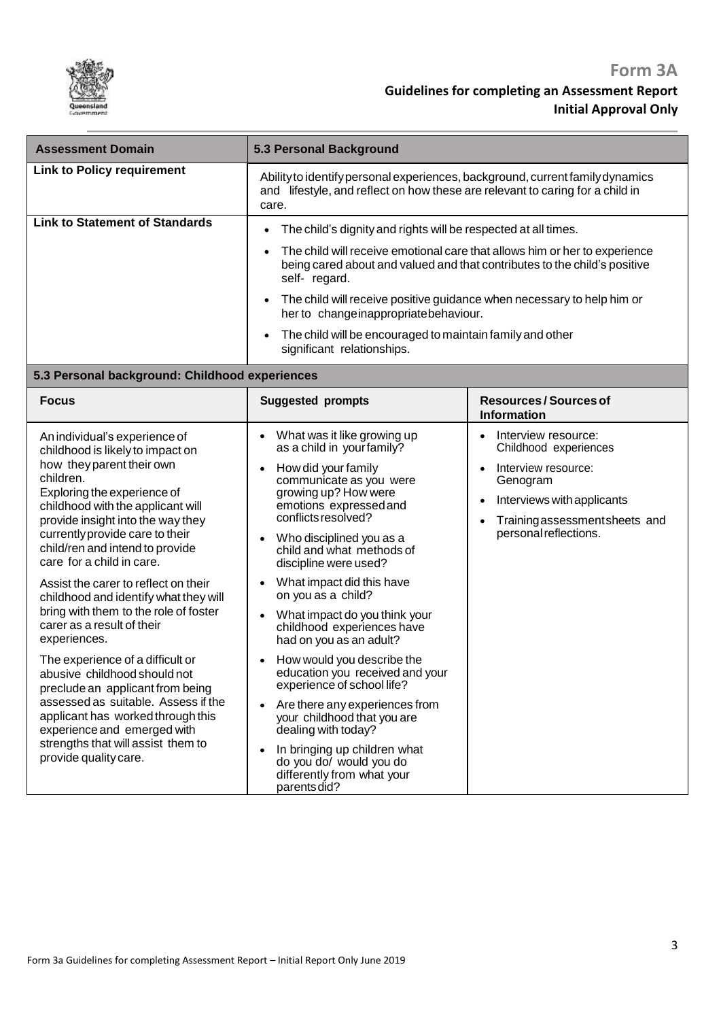

| <b>Assessment Domain</b>                                                                                                                                                                                                                                                                                                                                                                                                                                                                                                            | 5.3 Personal Background                                                                                                                                                                                                                                                                                                                                                                                                                                                                           |                                                                                                                                                                                       |
|-------------------------------------------------------------------------------------------------------------------------------------------------------------------------------------------------------------------------------------------------------------------------------------------------------------------------------------------------------------------------------------------------------------------------------------------------------------------------------------------------------------------------------------|---------------------------------------------------------------------------------------------------------------------------------------------------------------------------------------------------------------------------------------------------------------------------------------------------------------------------------------------------------------------------------------------------------------------------------------------------------------------------------------------------|---------------------------------------------------------------------------------------------------------------------------------------------------------------------------------------|
| <b>Link to Policy requirement</b>                                                                                                                                                                                                                                                                                                                                                                                                                                                                                                   | Ability to identify personal experiences, background, current family dynamics<br>and lifestyle, and reflect on how these are relevant to caring for a child in<br>care.                                                                                                                                                                                                                                                                                                                           |                                                                                                                                                                                       |
| <b>Link to Statement of Standards</b>                                                                                                                                                                                                                                                                                                                                                                                                                                                                                               | The child's dignity and rights will be respected at all times.<br>٠                                                                                                                                                                                                                                                                                                                                                                                                                               |                                                                                                                                                                                       |
|                                                                                                                                                                                                                                                                                                                                                                                                                                                                                                                                     | being cared about and valued and that contributes to the child's positive<br>self-regard.                                                                                                                                                                                                                                                                                                                                                                                                         | The child will receive emotional care that allows him or her to experience                                                                                                            |
|                                                                                                                                                                                                                                                                                                                                                                                                                                                                                                                                     | The child will receive positive guidance when necessary to help him or<br>her to change inappropriate behaviour.                                                                                                                                                                                                                                                                                                                                                                                  |                                                                                                                                                                                       |
|                                                                                                                                                                                                                                                                                                                                                                                                                                                                                                                                     | The child will be encouraged to maintain family and other<br>significant relationships.                                                                                                                                                                                                                                                                                                                                                                                                           |                                                                                                                                                                                       |
| 5.3 Personal background: Childhood experiences                                                                                                                                                                                                                                                                                                                                                                                                                                                                                      |                                                                                                                                                                                                                                                                                                                                                                                                                                                                                                   |                                                                                                                                                                                       |
| <b>Focus</b>                                                                                                                                                                                                                                                                                                                                                                                                                                                                                                                        | <b>Suggested prompts</b>                                                                                                                                                                                                                                                                                                                                                                                                                                                                          | <b>Resources/Sources of</b><br><b>Information</b>                                                                                                                                     |
| An individual's experience of<br>childhood is likely to impact on<br>how they parent their own<br>children.<br>Exploring the experience of<br>childhood with the applicant will<br>provide insight into the way they<br>currently provide care to their<br>child/ren and intend to provide<br>care for a child in care.<br>Assist the carer to reflect on their<br>childhood and identify what they will<br>bring with them to the role of foster<br>carer as a result of their<br>experiences.<br>The experience of a difficult or | What was it like growing up<br>$\bullet$<br>as a child in your family?<br>How did your family<br>communicate as you were<br>growing up? How were<br>emotions expressed and<br>conflicts resolved?<br>Who disciplined you as a<br>child and what methods of<br>discipline were used?<br>What impact did this have<br>on you as a child?<br>What impact do you think your<br>childhood experiences have<br>had on you as an adult?<br>How would you describe the<br>education you received and your | Interview resource:<br>Childhood experiences<br>Interview resource:<br>Genogram<br>Interviews with applicants<br>$\bullet$<br>Training assessment sheets and<br>personal reflections. |
| abusive childhood should not<br>preclude an applicant from being<br>assessed as suitable. Assess if the<br>applicant has worked through this<br>experience and emerged with<br>strengths that will assist them to<br>provide quality care.                                                                                                                                                                                                                                                                                          | experience of school life?<br>Are there any experiences from<br>your childhood that you are<br>dealing with today?<br>In bringing up children what<br>do you do/ would you do<br>differently from what your<br>parents did?                                                                                                                                                                                                                                                                       |                                                                                                                                                                                       |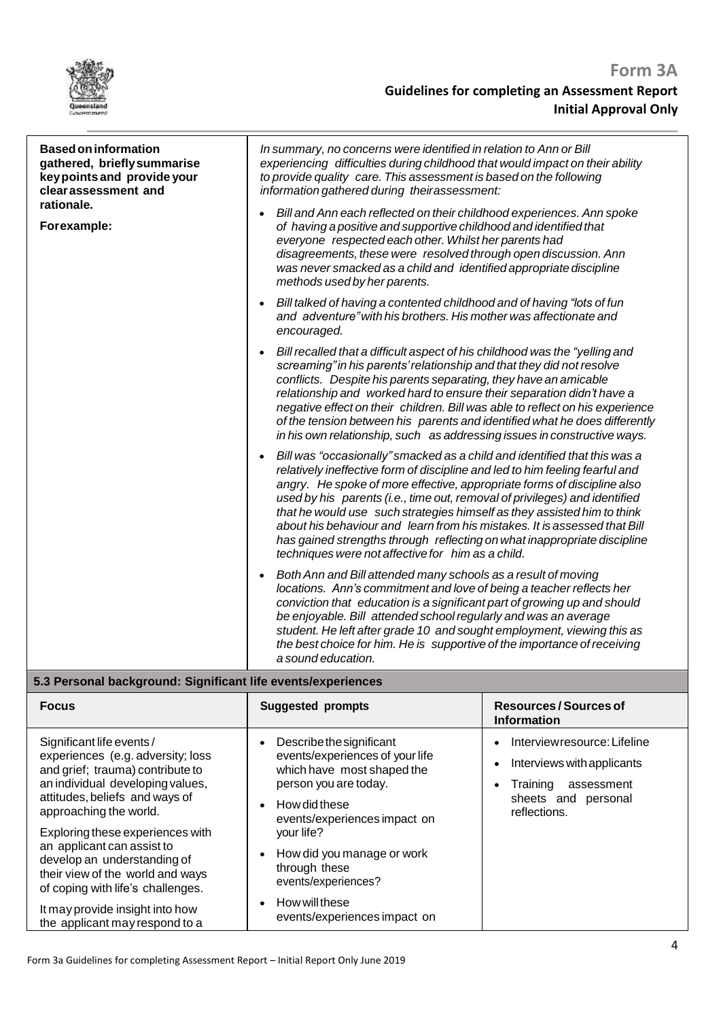

reflections.

| <b>Based on information</b><br>gathered, briefly summarise<br>key points and provide your<br>clear assessment and<br>rationale.<br>Forexample:                           | In summary, no concerns were identified in relation to Ann or Bill<br>experiencing difficulties during childhood that would impact on their ability<br>to provide quality care. This assessment is based on the following<br>information gathered during theirassessment:                                                                                                                                                                                                                                                                                                                                   |                                                                                                                                                   |
|--------------------------------------------------------------------------------------------------------------------------------------------------------------------------|-------------------------------------------------------------------------------------------------------------------------------------------------------------------------------------------------------------------------------------------------------------------------------------------------------------------------------------------------------------------------------------------------------------------------------------------------------------------------------------------------------------------------------------------------------------------------------------------------------------|---------------------------------------------------------------------------------------------------------------------------------------------------|
|                                                                                                                                                                          | Bill and Ann each reflected on their childhood experiences. Ann spoke<br>of having a positive and supportive childhood and identified that<br>everyone respected each other. Whilst her parents had<br>disagreements, these were resolved through open discussion. Ann<br>was never smacked as a child and identified appropriate discipline<br>methods used by her parents.                                                                                                                                                                                                                                |                                                                                                                                                   |
|                                                                                                                                                                          | Bill talked of having a contented childhood and of having "lots of fun<br>and adventure" with his brothers. His mother was affectionate and<br>encouraged.                                                                                                                                                                                                                                                                                                                                                                                                                                                  |                                                                                                                                                   |
|                                                                                                                                                                          | Bill recalled that a difficult aspect of his childhood was the "yelling and<br>screaming" in his parents' relationship and that they did not resolve<br>conflicts. Despite his parents separating, they have an amicable<br>relationship and worked hard to ensure their separation didn't have a<br>negative effect on their children. Bill was able to reflect on his experience<br>of the tension between his parents and identified what he does differently<br>in his own relationship, such as addressing issues in constructive ways.                                                                |                                                                                                                                                   |
|                                                                                                                                                                          | Bill was "occasionally" smacked as a child and identified that this was a<br>relatively ineffective form of discipline and led to him feeling fearful and<br>angry. He spoke of more effective, appropriate forms of discipline also<br>used by his parents (i.e., time out, removal of privileges) and identified<br>that he would use such strategies himself as they assisted him to think<br>about his behaviour and learn from his mistakes. It is assessed that Bill<br>has gained strengths through reflecting on what inappropriate discipline<br>techniques were not affective for him as a child. |                                                                                                                                                   |
|                                                                                                                                                                          | Both Ann and Bill attended many schools as a result of moving<br>locations. Ann's commitment and love of being a teacher reflects her<br>conviction that education is a significant part of growing up and should<br>be enjoyable. Bill attended school regularly and was an average<br>student. He left after grade 10 and sought employment, viewing this as<br>the best choice for him. He is supportive of the importance of receiving<br>a sound education.                                                                                                                                            |                                                                                                                                                   |
| 5.3 Personal background: Significant life events/experiences                                                                                                             |                                                                                                                                                                                                                                                                                                                                                                                                                                                                                                                                                                                                             |                                                                                                                                                   |
| <b>Focus</b>                                                                                                                                                             | <b>Suggested prompts</b>                                                                                                                                                                                                                                                                                                                                                                                                                                                                                                                                                                                    | <b>Resources/Sources of</b><br><b>Information</b>                                                                                                 |
| Significant life events /<br>experiences (e.g. adversity; loss<br>and grief; trauma) contribute to<br>an individual developing values,<br>attitudes, beliefs and ways of | Describe the significant<br>$\bullet$<br>events/experiences of your life<br>which have most shaped the<br>person you are today.<br>$L_{out}$ did thono                                                                                                                                                                                                                                                                                                                                                                                                                                                      | Interviewresource: Lifeline<br>$\bullet$<br>Interviews with applicants<br>$\bullet$<br>Training<br>assessment<br>$\bullet$<br>sheets and personal |

• How did these

approaching the world.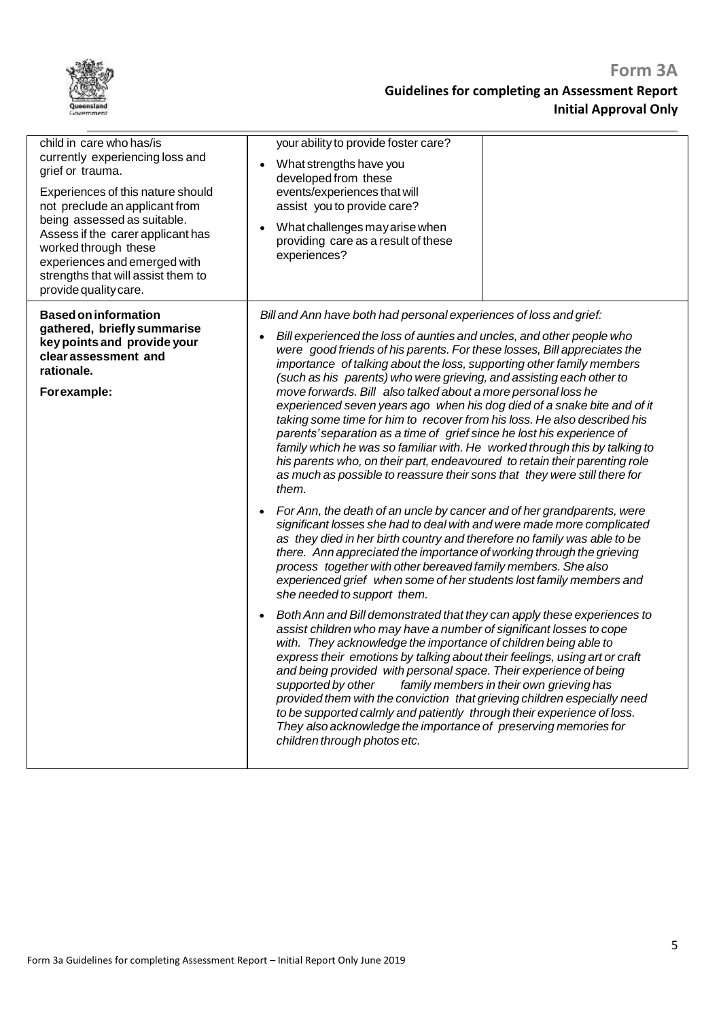| child in care who has/is<br>currently experiencing loss and<br>grief or trauma.<br>Experiences of this nature should<br>not preclude an applicant from<br>being assessed as suitable.<br>Assess if the carer applicant has<br>worked through these<br>experiences and emerged with<br>strengths that will assist them to<br>provide quality care. | your ability to provide foster care?<br>What strengths have you<br>$\bullet$<br>developed from these<br>events/experiences that will<br>assist you to provide care?<br>What challenges may arise when<br>$\bullet$<br>providing care as a result of these<br>experiences?                                                                                                                                                                                                                                                                                                                                                                                                                                                                                                                                                                                                                                                                                                                                                                                                                                                                                                                                                                                                                                                                                                                                                                                                                                                                                                                                                                                                                                                                                                                                                                                                                                                                                                                                                                                                                                                                 |
|---------------------------------------------------------------------------------------------------------------------------------------------------------------------------------------------------------------------------------------------------------------------------------------------------------------------------------------------------|-------------------------------------------------------------------------------------------------------------------------------------------------------------------------------------------------------------------------------------------------------------------------------------------------------------------------------------------------------------------------------------------------------------------------------------------------------------------------------------------------------------------------------------------------------------------------------------------------------------------------------------------------------------------------------------------------------------------------------------------------------------------------------------------------------------------------------------------------------------------------------------------------------------------------------------------------------------------------------------------------------------------------------------------------------------------------------------------------------------------------------------------------------------------------------------------------------------------------------------------------------------------------------------------------------------------------------------------------------------------------------------------------------------------------------------------------------------------------------------------------------------------------------------------------------------------------------------------------------------------------------------------------------------------------------------------------------------------------------------------------------------------------------------------------------------------------------------------------------------------------------------------------------------------------------------------------------------------------------------------------------------------------------------------------------------------------------------------------------------------------------------------|
| <b>Based on information</b><br>gathered, briefly summarise<br>key points and provide your<br>clear assessment and<br>rationale.<br>Forexample:                                                                                                                                                                                                    | Bill and Ann have both had personal experiences of loss and grief:<br>Bill experienced the loss of aunties and uncles, and other people who<br>$\bullet$<br>were good friends of his parents. For these losses, Bill appreciates the<br>importance of talking about the loss, supporting other family members<br>(such as his parents) who were grieving, and assisting each other to<br>move forwards. Bill also talked about a more personal loss he<br>experienced seven years ago when his dog died of a snake bite and of it<br>taking some time for him to recover from his loss. He also described his<br>parents' separation as a time of grief since he lost his experience of<br>family which he was so familiar with. He worked through this by talking to<br>his parents who, on their part, endeavoured to retain their parenting role<br>as much as possible to reassure their sons that they were still there for<br>them.<br>For Ann, the death of an uncle by cancer and of her grandparents, were<br>$\bullet$<br>significant losses she had to deal with and were made more complicated<br>as they died in her birth country and therefore no family was able to be<br>there. Ann appreciated the importance of working through the grieving<br>process together with other bereaved family members. She also<br>experienced grief when some of her students lost family members and<br>she needed to support them.<br>Both Ann and Bill demonstrated that they can apply these experiences to<br>assist children who may have a number of significant losses to cope<br>with. They acknowledge the importance of children being able to<br>express their emotions by talking about their feelings, using art or craft<br>and being provided with personal space. Their experience of being<br>supported by other<br>family members in their own grieving has<br>provided them with the conviction that grieving children especially need<br>to be supported calmly and patiently through their experience of loss.<br>They also acknowledge the importance of preserving memories for<br>children through photos etc. |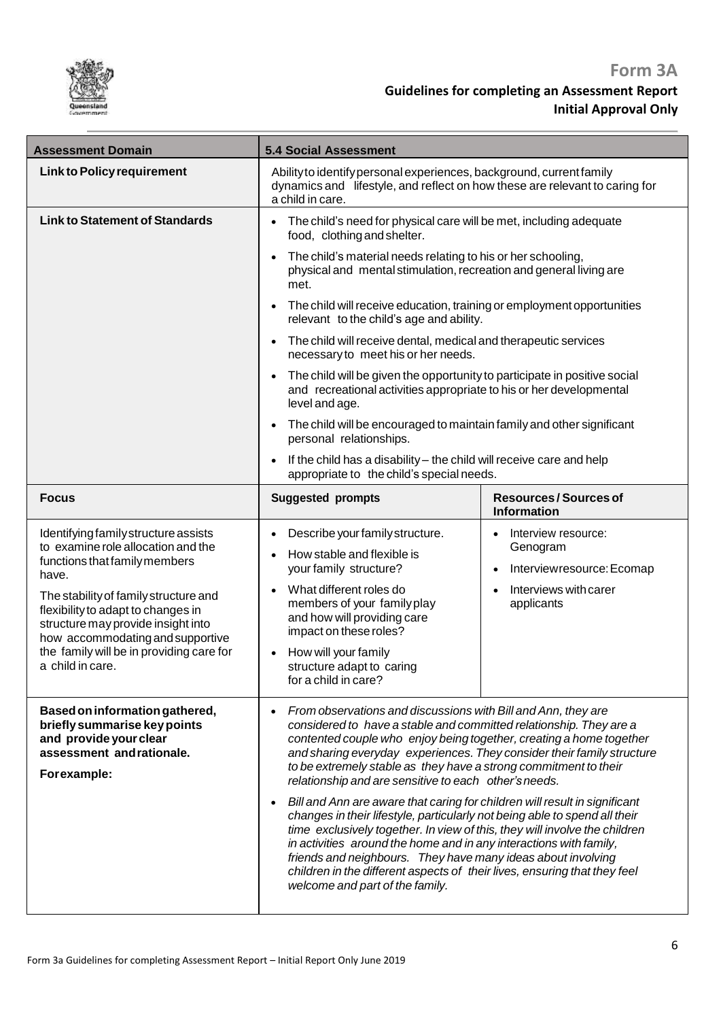

| <b>Assessment Domain</b>                                                                                                                              | <b>5.4 Social Assessment</b>                                                                                                                                                                                                                                                                                                                                                                                                                                                                 |                                                                           |
|-------------------------------------------------------------------------------------------------------------------------------------------------------|----------------------------------------------------------------------------------------------------------------------------------------------------------------------------------------------------------------------------------------------------------------------------------------------------------------------------------------------------------------------------------------------------------------------------------------------------------------------------------------------|---------------------------------------------------------------------------|
| <b>Link to Policy requirement</b>                                                                                                                     | Ability to identify personal experiences, background, current family<br>dynamics and lifestyle, and reflect on how these are relevant to caring for<br>a child in care.                                                                                                                                                                                                                                                                                                                      |                                                                           |
| <b>Link to Statement of Standards</b>                                                                                                                 | The child's need for physical care will be met, including adequate<br>food, clothing and shelter.                                                                                                                                                                                                                                                                                                                                                                                            |                                                                           |
|                                                                                                                                                       | The child's material needs relating to his or her schooling,<br>physical and mental stimulation, recreation and general living are<br>met.                                                                                                                                                                                                                                                                                                                                                   |                                                                           |
|                                                                                                                                                       | The child will receive education, training or employment opportunities<br>relevant to the child's age and ability.                                                                                                                                                                                                                                                                                                                                                                           |                                                                           |
|                                                                                                                                                       | The child will receive dental, medical and therapeutic services<br>necessary to meet his or her needs.                                                                                                                                                                                                                                                                                                                                                                                       |                                                                           |
|                                                                                                                                                       | The child will be given the opportunity to participate in positive social<br>and recreational activities appropriate to his or her developmental<br>level and age.                                                                                                                                                                                                                                                                                                                           |                                                                           |
|                                                                                                                                                       | The child will be encouraged to maintain family and other significant<br>personal relationships.                                                                                                                                                                                                                                                                                                                                                                                             |                                                                           |
|                                                                                                                                                       | If the child has a disability - the child will receive care and help<br>appropriate to the child's special needs.                                                                                                                                                                                                                                                                                                                                                                            |                                                                           |
| <b>Focus</b>                                                                                                                                          | <b>Suggested prompts</b>                                                                                                                                                                                                                                                                                                                                                                                                                                                                     | <b>Resources/Sources of</b><br><b>Information</b>                         |
| Identifying family structure assists<br>to examine role allocation and the<br>functions that family members<br>have.                                  | Describe your family structure.<br>How stable and flexible is<br>your family structure?                                                                                                                                                                                                                                                                                                                                                                                                      | Interview resource:<br>Genogram<br>Interviewresource: Ecomap<br>$\bullet$ |
| The stability of family structure and<br>flexibility to adapt to changes in<br>structure may provide insight into<br>how accommodating and supportive | What different roles do<br>$\bullet$<br>members of your family play<br>and how will providing care<br>impact on these roles?                                                                                                                                                                                                                                                                                                                                                                 | Interviews with carer<br>applicants                                       |
| the family will be in providing care for<br>a child in care.                                                                                          | How will your family<br>structure adapt to caring<br>for a child in care?                                                                                                                                                                                                                                                                                                                                                                                                                    |                                                                           |
| Based on information gathered,<br>briefly summarise key points<br>and provide your clear<br>assessment andrationale.<br>Forexample:                   | From observations and discussions with Bill and Ann, they are<br>$\bullet$<br>considered to have a stable and committed relationship. They are a<br>contented couple who enjoy being together, creating a home together<br>and sharing everyday experiences. They consider their family structure<br>to be extremely stable as they have a strong commitment to their<br>relationship and are sensitive to each other's needs.                                                               |                                                                           |
|                                                                                                                                                       | Bill and Ann are aware that caring for children will result in significant<br>changes in their lifestyle, particularly not being able to spend all their<br>time exclusively together. In view of this, they will involve the children<br>in activities around the home and in any interactions with family,<br>friends and neighbours. They have many ideas about involving<br>children in the different aspects of their lives, ensuring that they feel<br>welcome and part of the family. |                                                                           |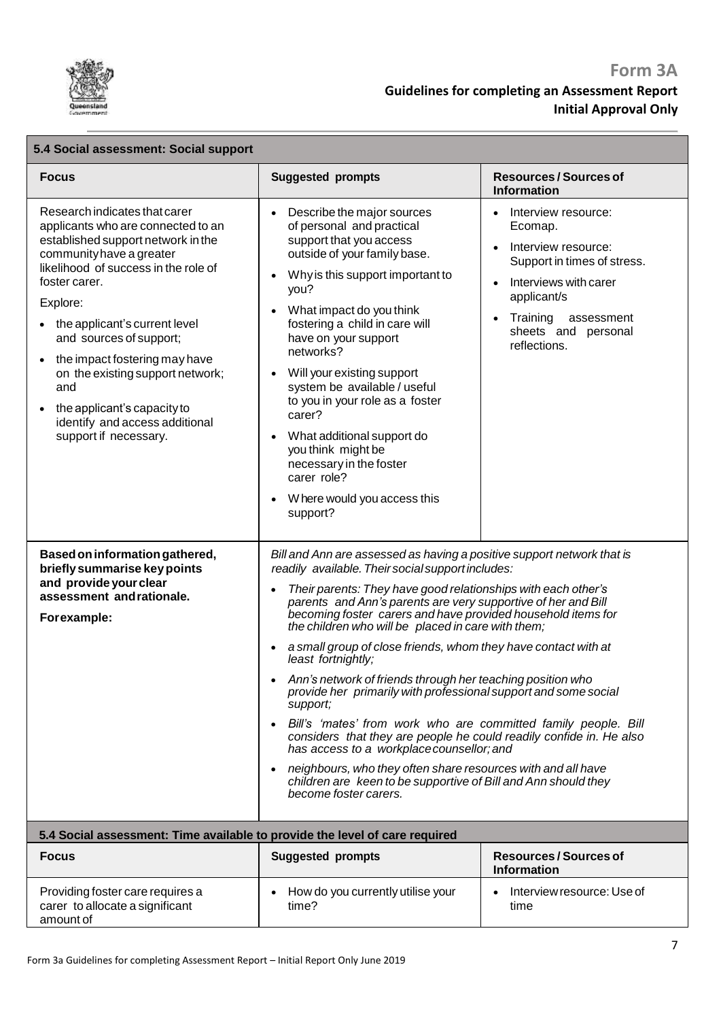

| <b>Focus</b>                                                                                                                                                                                                                                                                                                                                                                                                                                              | <b>Suggested prompts</b>                                                                                                                                                                                                                                                                                                                                                                                                                                                                                                                                                                                                                                                                                                                                                                                                                                                                                                                                                  | <b>Resources/Sources of</b><br><b>Information</b>                                                                                                                                             |
|-----------------------------------------------------------------------------------------------------------------------------------------------------------------------------------------------------------------------------------------------------------------------------------------------------------------------------------------------------------------------------------------------------------------------------------------------------------|---------------------------------------------------------------------------------------------------------------------------------------------------------------------------------------------------------------------------------------------------------------------------------------------------------------------------------------------------------------------------------------------------------------------------------------------------------------------------------------------------------------------------------------------------------------------------------------------------------------------------------------------------------------------------------------------------------------------------------------------------------------------------------------------------------------------------------------------------------------------------------------------------------------------------------------------------------------------------|-----------------------------------------------------------------------------------------------------------------------------------------------------------------------------------------------|
| Research indicates that carer<br>applicants who are connected to an<br>established support network in the<br>community have a greater<br>likelihood of success in the role of<br>foster carer.<br>Explore:<br>the applicant's current level<br>$\bullet$<br>and sources of support;<br>the impact fostering may have<br>on the existing support network;<br>and<br>the applicant's capacity to<br>identify and access additional<br>support if necessary. | Describe the major sources<br>of personal and practical<br>support that you access<br>outside of your family base.<br>Why is this support important to<br>you?<br>What impact do you think<br>fostering a child in care will<br>have on your support<br>networks?<br>Will your existing support<br>system be available / useful<br>to you in your role as a foster<br>carer?<br>What additional support do<br>you think might be<br>necessary in the foster<br>carer role?<br>W here would you access this<br>support?                                                                                                                                                                                                                                                                                                                                                                                                                                                    | Interview resource:<br>Ecomap.<br>Interview resource:<br>Support in times of stress.<br>Interviews with carer<br>applicant/s<br>Training<br>assessment<br>sheets and personal<br>reflections. |
| Based on information gathered,<br>briefly summarise key points<br>and provide your clear<br>assessment and rationale.<br>Forexample:                                                                                                                                                                                                                                                                                                                      | Bill and Ann are assessed as having a positive support network that is<br>readily available. Their social support includes:<br>Their parents: They have good relationships with each other's<br>parents and Ann's parents are very supportive of her and Bill<br>becoming foster carers and have provided household items for<br>the children who will be placed in care with them;<br>a small group of close friends, whom they have contact with at<br>least fortnightly;<br>Ann's network of friends through her teaching position who<br>provide her primarily with professional support and some social<br>support;<br>Bill's 'mates' from work who are committed family people. Bill<br>considers that they are people he could readily confide in. He also<br>has access to a workplace counsellor; and<br>neighbours, who they often share resources with and all have<br>children are keen to be supportive of Bill and Ann should they<br>become foster carers. |                                                                                                                                                                                               |
|                                                                                                                                                                                                                                                                                                                                                                                                                                                           | 5.4 Social assessment: Time available to provide the level of care required                                                                                                                                                                                                                                                                                                                                                                                                                                                                                                                                                                                                                                                                                                                                                                                                                                                                                               |                                                                                                                                                                                               |
| <b>Focus</b>                                                                                                                                                                                                                                                                                                                                                                                                                                              | <b>Suggested prompts</b>                                                                                                                                                                                                                                                                                                                                                                                                                                                                                                                                                                                                                                                                                                                                                                                                                                                                                                                                                  | <b>Resources/Sources of</b><br><b>Information</b>                                                                                                                                             |
| Providing foster care requires a<br>carer to allocate a significant<br>amount of                                                                                                                                                                                                                                                                                                                                                                          | How do you currently utilise your<br>time?                                                                                                                                                                                                                                                                                                                                                                                                                                                                                                                                                                                                                                                                                                                                                                                                                                                                                                                                | Interview resource: Use of<br>time                                                                                                                                                            |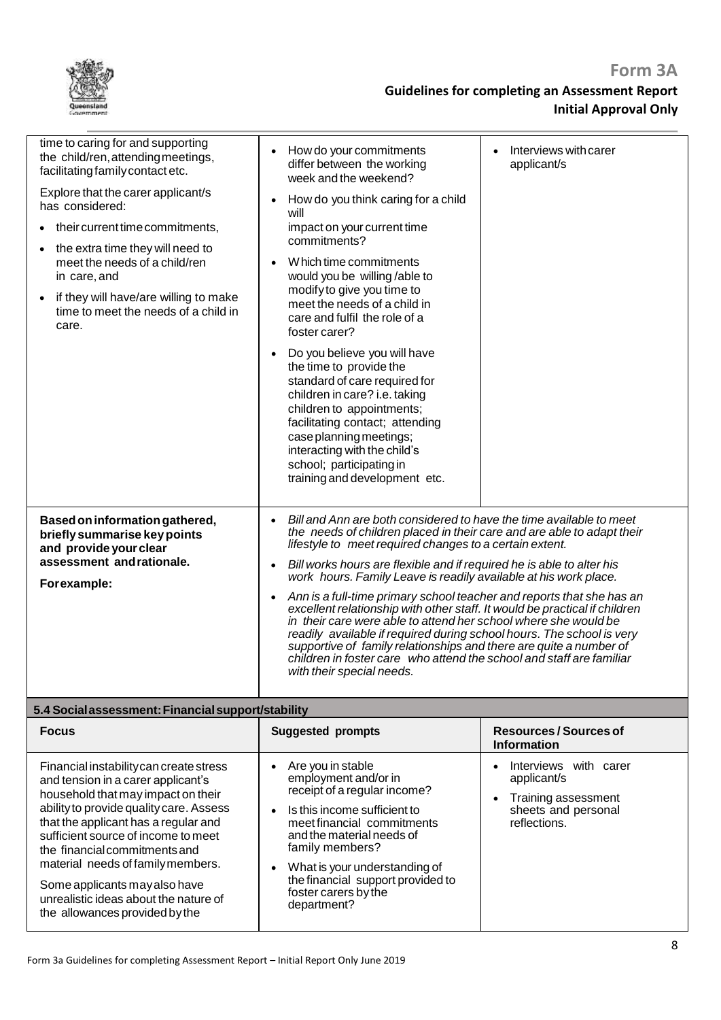| time to caring for and supporting<br>the child/ren, attending meetings,<br>facilitating family contact etc.<br>Explore that the carer applicant/s<br>has considered:<br>their current time commitments,<br>$\bullet$<br>the extra time they will need to<br>meet the needs of a child/ren<br>in care, and<br>if they will have/are willing to make<br>time to meet the needs of a child in<br>care.                        | How do your commitments<br>differ between the working<br>week and the weekend?<br>How do you think caring for a child<br>$\bullet$<br>will<br>impact on your current time<br>commitments?<br>W hich time commitments<br>would you be willing/able to<br>modify to give you time to<br>meet the needs of a child in<br>care and fulfil the role of a<br>foster carer?<br>Do you believe you will have<br>the time to provide the<br>standard of care required for<br>children in care? i.e. taking<br>children to appointments;<br>facilitating contact; attending<br>case planning meetings;<br>interacting with the child's<br>school; participating in<br>training and development etc.                                                                                                                                                                                  | Interviews with carer<br>applicant/s                                                                            |
|----------------------------------------------------------------------------------------------------------------------------------------------------------------------------------------------------------------------------------------------------------------------------------------------------------------------------------------------------------------------------------------------------------------------------|----------------------------------------------------------------------------------------------------------------------------------------------------------------------------------------------------------------------------------------------------------------------------------------------------------------------------------------------------------------------------------------------------------------------------------------------------------------------------------------------------------------------------------------------------------------------------------------------------------------------------------------------------------------------------------------------------------------------------------------------------------------------------------------------------------------------------------------------------------------------------|-----------------------------------------------------------------------------------------------------------------|
| Based on information gathered,<br>briefly summarise key points<br>and provide your clear<br>assessment and rationale.<br>Forexample:                                                                                                                                                                                                                                                                                       | Bill and Ann are both considered to have the time available to meet<br>$\bullet$<br>the needs of children placed in their care and are able to adapt their<br>lifestyle to meet required changes to a certain extent.<br>Bill works hours are flexible and if required he is able to alter his<br>$\bullet$<br>work hours. Family Leave is readily available at his work place.<br>Ann is a full-time primary school teacher and reports that she has an<br>$\bullet$<br>excellent relationship with other staff. It would be practical if children<br>in their care were able to attend her school where she would be<br>readily available if required during school hours. The school is very<br>supportive of family relationships and there are quite a number of<br>children in foster care who attend the school and staff are familiar<br>with their special needs. |                                                                                                                 |
| 5.4 Social assessment: Financial support/stability                                                                                                                                                                                                                                                                                                                                                                         |                                                                                                                                                                                                                                                                                                                                                                                                                                                                                                                                                                                                                                                                                                                                                                                                                                                                            |                                                                                                                 |
| <b>Focus</b>                                                                                                                                                                                                                                                                                                                                                                                                               | <b>Suggested prompts</b>                                                                                                                                                                                                                                                                                                                                                                                                                                                                                                                                                                                                                                                                                                                                                                                                                                                   | <b>Resources/Sources of</b><br><b>Information</b>                                                               |
| Financial instability can create stress<br>and tension in a carer applicant's<br>household that may impact on their<br>ability to provide quality care. Assess<br>that the applicant has a regular and<br>sufficient source of income to meet<br>the financial commitments and<br>material needs of family members.<br>Some applicants may also have<br>unrealistic ideas about the nature of<br>ollowangon ngokidad butha | Are you in stable<br>employment and/or in<br>receipt of a regular income?<br>Is this income sufficient to<br>$\bullet$<br>meet financial commitments<br>and the material needs of<br>family members?<br>What is your understanding of<br>the financial support provided to<br>foster carers by the<br>department?                                                                                                                                                                                                                                                                                                                                                                                                                                                                                                                                                          | Interviews with carer<br>$\bullet$<br>applicant/s<br>Training assessment<br>sheets and personal<br>reflections. |

the allowances provided bythe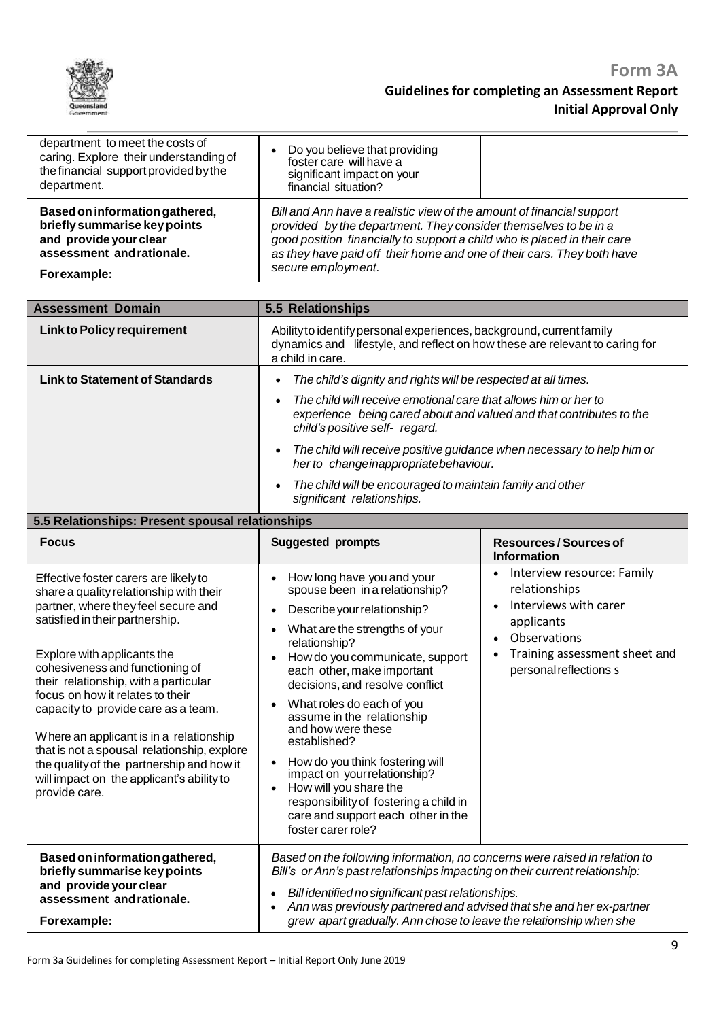

| department to meet the costs of<br>caring. Explore their understanding of<br>the financial support provided by the<br>department.    | Do you believe that providing<br>foster care will have a<br>significant impact on your<br>financial situation?                                                                                                                                                                                                       |  |
|--------------------------------------------------------------------------------------------------------------------------------------|----------------------------------------------------------------------------------------------------------------------------------------------------------------------------------------------------------------------------------------------------------------------------------------------------------------------|--|
| Based on information gathered,<br>briefly summarise key points<br>and provide your clear<br>assessment and rationale.<br>Forexample: | Bill and Ann have a realistic view of the amount of financial support<br>provided by the department. They consider themselves to be in a<br>good position financially to support a child who is placed in their care<br>as they have paid off their home and one of their cars. They both have<br>secure employment. |  |

| <b>Assessment Domain</b>                                                                                                                                                                                                                                                                                                                                                                                                                                                                                                                              | 5.5 Relationships                                                                                                                                                                                                                                                                                                                                                                                                                                                                                                                                                                            |                                                                                                                                                                                         |
|-------------------------------------------------------------------------------------------------------------------------------------------------------------------------------------------------------------------------------------------------------------------------------------------------------------------------------------------------------------------------------------------------------------------------------------------------------------------------------------------------------------------------------------------------------|----------------------------------------------------------------------------------------------------------------------------------------------------------------------------------------------------------------------------------------------------------------------------------------------------------------------------------------------------------------------------------------------------------------------------------------------------------------------------------------------------------------------------------------------------------------------------------------------|-----------------------------------------------------------------------------------------------------------------------------------------------------------------------------------------|
| <b>Link to Policy requirement</b>                                                                                                                                                                                                                                                                                                                                                                                                                                                                                                                     | Ability to identify personal experiences, background, current family<br>dynamics and lifestyle, and reflect on how these are relevant to caring for<br>a child in care.                                                                                                                                                                                                                                                                                                                                                                                                                      |                                                                                                                                                                                         |
| <b>Link to Statement of Standards</b><br>5.5 Relationships: Present spousal relationships                                                                                                                                                                                                                                                                                                                                                                                                                                                             | The child's dignity and rights will be respected at all times.<br>$\bullet$<br>The child will receive emotional care that allows him or her to<br>experience being cared about and valued and that contributes to the<br>child's positive self- regard.<br>The child will receive positive guidance when necessary to help him or<br>$\bullet$<br>her to changeinappropriatebehaviour.<br>The child will be encouraged to maintain family and other<br>$\bullet$<br>significant relationships.                                                                                               |                                                                                                                                                                                         |
| <b>Focus</b>                                                                                                                                                                                                                                                                                                                                                                                                                                                                                                                                          | <b>Suggested prompts</b>                                                                                                                                                                                                                                                                                                                                                                                                                                                                                                                                                                     | <b>Resources/Sources of</b><br><b>Information</b>                                                                                                                                       |
| Effective foster carers are likely to<br>share a quality relationship with their<br>partner, where they feel secure and<br>satisfied in their partnership.<br>Explore with applicants the<br>cohesiveness and functioning of<br>their relationship, with a particular<br>focus on how it relates to their<br>capacity to provide care as a team.<br>Where an applicant is in a relationship<br>that is not a spousal relationship, explore<br>the quality of the partnership and how it<br>will impact on the applicant's ability to<br>provide care. | How long have you and your<br>spouse been in a relationship?<br>Describe your relationship?<br>$\bullet$<br>What are the strengths of your<br>relationship?<br>How do you communicate, support<br>each other, make important<br>decisions, and resolve conflict<br>What roles do each of you<br>assume in the relationship<br>and how were these<br>established?<br>How do you think fostering will<br>$\bullet$<br>impact on yourrelationship?<br>How will you share the<br>$\bullet$<br>responsibility of fostering a child in<br>care and support each other in the<br>foster carer role? | Interview resource: Family<br>$\bullet$<br>relationships<br>Interviews with carer<br>applicants<br>Observations<br>$\bullet$<br>Training assessment sheet and<br>personal reflections s |
| Based on information gathered,<br>briefly summarise key points<br>and provide your clear<br>assessment andrationale.<br>Forexample:                                                                                                                                                                                                                                                                                                                                                                                                                   | Based on the following information, no concerns were raised in relation to<br>Bill's or Ann's past relationships impacting on their current relationship:<br>Bill identified no significant past relationships.<br>Ann was previously partnered and advised that she and her ex-partner<br>grew apart gradually. Ann chose to leave the relationship when she                                                                                                                                                                                                                                |                                                                                                                                                                                         |
|                                                                                                                                                                                                                                                                                                                                                                                                                                                                                                                                                       |                                                                                                                                                                                                                                                                                                                                                                                                                                                                                                                                                                                              | O.                                                                                                                                                                                      |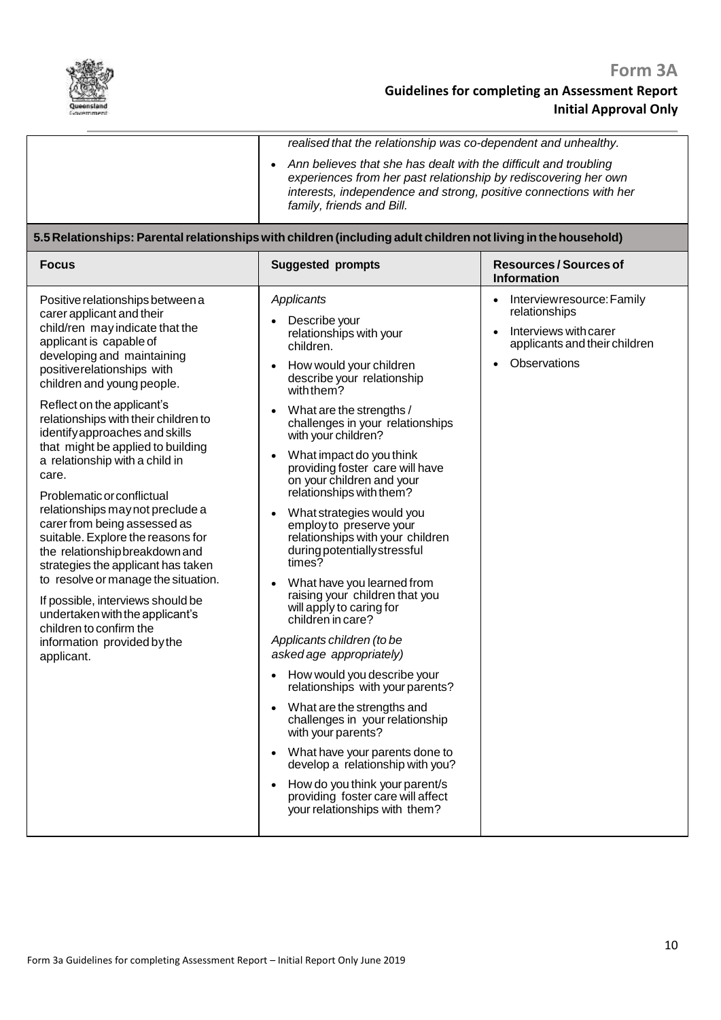

*realised that the relationship was co-dependent and unhealthy.*

 *Ann believes that she has dealt with the difficult and troubling experiences from her past relationship by rediscovering her own interests, independence and strong, positive connections with her family, friends and Bill.*

### **5.5Relationships: Parentalrelationshipswith children(including adult children notliving inthehousehold)**

| <b>Focus</b>                                                                                                                                                                                                                                                                                                                                                                                                                                                                                                                                                                                                                                                                                                                                                                                                         | <b>Suggested prompts</b>                                                                                                                                                                                                                                                                                                                                                                                                                                                                                                                                                                                                                                                                                                                                                                                                                                                                                                                                                                                                                                                                                                   | <b>Resources/Sources of</b><br><b>Information</b>                                                                    |
|----------------------------------------------------------------------------------------------------------------------------------------------------------------------------------------------------------------------------------------------------------------------------------------------------------------------------------------------------------------------------------------------------------------------------------------------------------------------------------------------------------------------------------------------------------------------------------------------------------------------------------------------------------------------------------------------------------------------------------------------------------------------------------------------------------------------|----------------------------------------------------------------------------------------------------------------------------------------------------------------------------------------------------------------------------------------------------------------------------------------------------------------------------------------------------------------------------------------------------------------------------------------------------------------------------------------------------------------------------------------------------------------------------------------------------------------------------------------------------------------------------------------------------------------------------------------------------------------------------------------------------------------------------------------------------------------------------------------------------------------------------------------------------------------------------------------------------------------------------------------------------------------------------------------------------------------------------|----------------------------------------------------------------------------------------------------------------------|
| Positive relationships between a<br>carer applicant and their<br>child/ren may indicate that the<br>applicant is capable of<br>developing and maintaining<br>positive relationships with<br>children and young people.<br>Reflect on the applicant's<br>relationships with their children to<br>identify approaches and skills<br>that might be applied to building<br>a relationship with a child in<br>care.<br>Problematic or conflictual<br>relationships may not preclude a<br>carer from being assessed as<br>suitable. Explore the reasons for<br>the relationship breakdown and<br>strategies the applicant has taken<br>to resolve or manage the situation.<br>If possible, interviews should be<br>undertaken with the applicant's<br>children to confirm the<br>information provided by the<br>applicant. | Applicants<br>Describe your<br>relationships with your<br>children.<br>How would your children<br>$\bullet$<br>describe your relationship<br>with them?<br>What are the strengths /<br>$\bullet$<br>challenges in your relationships<br>with your children?<br>What impact do you think<br>$\bullet$<br>providing foster care will have<br>on your children and your<br>relationships with them?<br>What strategies would you<br>$\bullet$<br>employ to preserve your<br>relationships with your children<br>during potentially stressful<br>times?<br>What have you learned from<br>raising your children that you<br>will apply to caring for<br>children in care?<br>Applicants children (to be<br>asked age appropriately)<br>How would you describe your<br>$\bullet$<br>relationships with your parents?<br>What are the strengths and<br>$\bullet$<br>challenges in your relationship<br>with your parents?<br>What have your parents done to<br>$\bullet$<br>develop a relationship with you?<br>How do you think your parent/s<br>$\bullet$<br>providing foster care will affect<br>your relationships with them? | Interviewresource: Family<br>relationships<br>Interviews with carer<br>applicants and their children<br>Observations |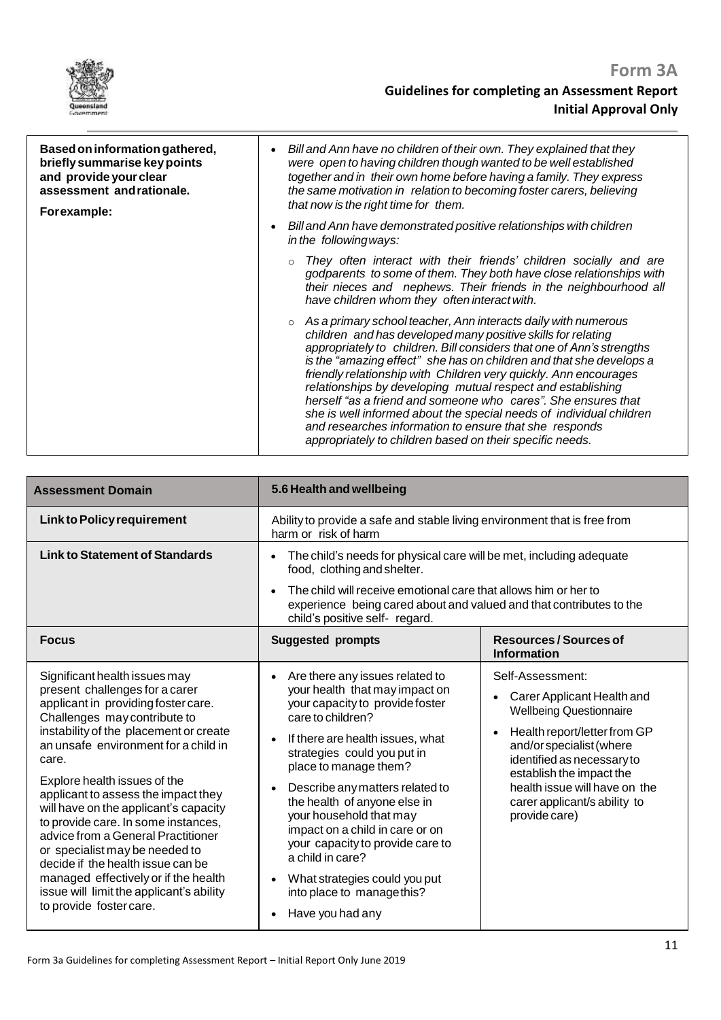

| Based on information gathered,<br>briefly summarise key points<br>and provide your clear<br>assessment andrationale.<br>Forexample: | Bill and Ann have no children of their own. They explained that they<br>$\bullet$<br>were open to having children though wanted to be well established<br>together and in their own home before having a family. They express<br>the same motivation in relation to becoming foster carers, believing<br>that now is the right time for them.<br>Bill and Ann have demonstrated positive relationships with children<br>$\bullet$<br>in the following ways:                                                                                                                                                                                                                     |
|-------------------------------------------------------------------------------------------------------------------------------------|---------------------------------------------------------------------------------------------------------------------------------------------------------------------------------------------------------------------------------------------------------------------------------------------------------------------------------------------------------------------------------------------------------------------------------------------------------------------------------------------------------------------------------------------------------------------------------------------------------------------------------------------------------------------------------|
|                                                                                                                                     | They often interact with their friends' children socially and are<br>godparents to some of them. They both have close relationships with<br>their nieces and nephews. Their friends in the neighbourhood all<br>have children whom they often interact with.                                                                                                                                                                                                                                                                                                                                                                                                                    |
|                                                                                                                                     | As a primary school teacher, Ann interacts daily with numerous<br>children and has developed many positive skills for relating<br>appropriately to children. Bill considers that one of Ann's strengths<br>is the "amazing effect" she has on children and that she develops a<br>friendly relationship with Children very quickly. Ann encourages<br>relationships by developing mutual respect and establishing<br>herself "as a friend and someone who cares". She ensures that<br>she is well informed about the special needs of individual children<br>and researches information to ensure that she responds<br>appropriately to children based on their specific needs. |

| <b>Assessment Domain</b>                                                                                                                                                                                                                                                                                                                                                                                                                                                                                                                                                                                             | 5.6 Health and wellbeing                                                                                                                                                                                                                                                                                                                                                                                                                                                                          |                                                                                                                                                                                                                                                                                          |
|----------------------------------------------------------------------------------------------------------------------------------------------------------------------------------------------------------------------------------------------------------------------------------------------------------------------------------------------------------------------------------------------------------------------------------------------------------------------------------------------------------------------------------------------------------------------------------------------------------------------|---------------------------------------------------------------------------------------------------------------------------------------------------------------------------------------------------------------------------------------------------------------------------------------------------------------------------------------------------------------------------------------------------------------------------------------------------------------------------------------------------|------------------------------------------------------------------------------------------------------------------------------------------------------------------------------------------------------------------------------------------------------------------------------------------|
| <b>Link to Policy requirement</b>                                                                                                                                                                                                                                                                                                                                                                                                                                                                                                                                                                                    | Ability to provide a safe and stable living environment that is free from<br>harm or risk of harm                                                                                                                                                                                                                                                                                                                                                                                                 |                                                                                                                                                                                                                                                                                          |
| <b>Link to Statement of Standards</b>                                                                                                                                                                                                                                                                                                                                                                                                                                                                                                                                                                                | The child's needs for physical care will be met, including adequate<br>food, clothing and shelter.                                                                                                                                                                                                                                                                                                                                                                                                |                                                                                                                                                                                                                                                                                          |
|                                                                                                                                                                                                                                                                                                                                                                                                                                                                                                                                                                                                                      | The child will receive emotional care that allows him or her to<br>experience being cared about and valued and that contributes to the<br>child's positive self- regard.                                                                                                                                                                                                                                                                                                                          |                                                                                                                                                                                                                                                                                          |
| <b>Focus</b>                                                                                                                                                                                                                                                                                                                                                                                                                                                                                                                                                                                                         | <b>Suggested prompts</b>                                                                                                                                                                                                                                                                                                                                                                                                                                                                          | Resources / Sources of<br><b>Information</b>                                                                                                                                                                                                                                             |
| Significant health issues may<br>present challenges for a carer<br>applicant in providing foster care.<br>Challenges may contribute to<br>instability of the placement or create<br>an unsafe environment for a child in<br>care.<br>Explore health issues of the<br>applicant to assess the impact they<br>will have on the applicant's capacity<br>to provide care. In some instances,<br>advice from a General Practitioner<br>or specialist may be needed to<br>decide if the health issue can be<br>managed effectively or if the health<br>issue will limit the applicant's ability<br>to provide foster care. | Are there any issues related to<br>your health that may impact on<br>your capacity to provide foster<br>care to children?<br>If there are health issues, what<br>strategies could you put in<br>place to manage them?<br>Describe any matters related to<br>the health of anyone else in<br>your household that may<br>impact on a child in care or on<br>your capacity to provide care to<br>a child in care?<br>What strategies could you put<br>into place to manage this?<br>Have you had any | Self-Assessment:<br>Carer Applicant Health and<br><b>Wellbeing Questionnaire</b><br>Health report/letter from GP<br>and/or specialist (where<br>identified as necessary to<br>establish the impact the<br>health issue will have on the<br>carer applicant/s ability to<br>provide care) |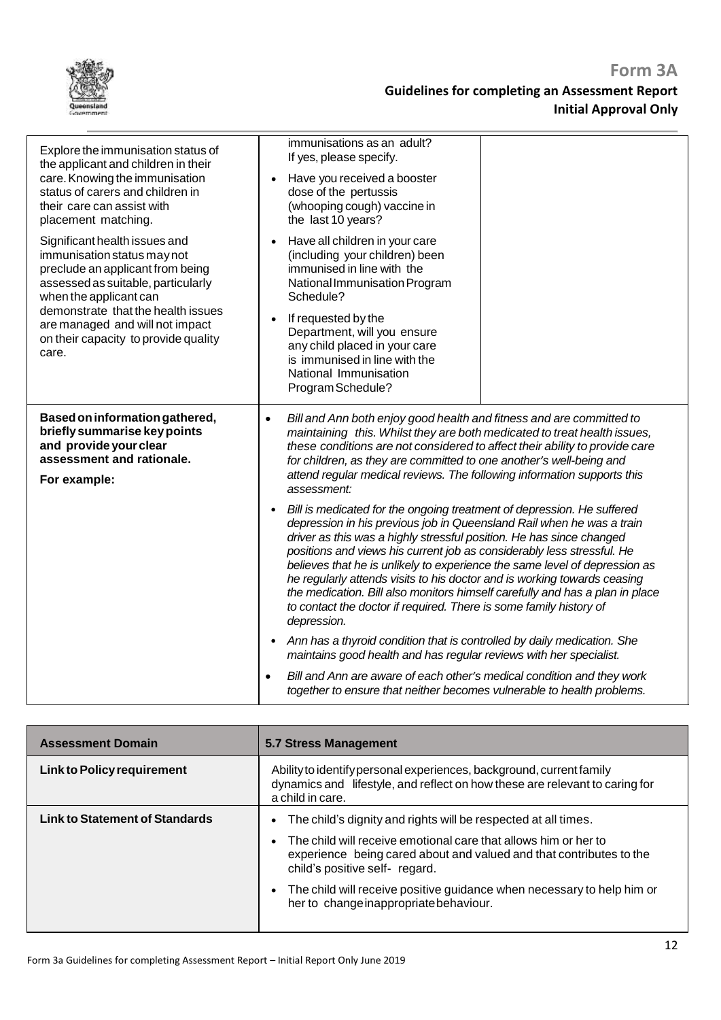| Explore the immunisation status of<br>the applicant and children in their<br>care. Knowing the immunisation<br>status of carers and children in<br>their care can assist with<br>placement matching.                                                                                       | immunisations as an adult?<br>If yes, please specify.<br>Have you received a booster<br>dose of the pertussis<br>(whooping cough) vaccine in<br>the last 10 years?                                                                                                                                                                                                                                                                                                                                                                                                                                                                            |  |
|--------------------------------------------------------------------------------------------------------------------------------------------------------------------------------------------------------------------------------------------------------------------------------------------|-----------------------------------------------------------------------------------------------------------------------------------------------------------------------------------------------------------------------------------------------------------------------------------------------------------------------------------------------------------------------------------------------------------------------------------------------------------------------------------------------------------------------------------------------------------------------------------------------------------------------------------------------|--|
| Significant health issues and<br>immunisation status may not<br>preclude an applicant from being<br>assessed as suitable, particularly<br>when the applicant can<br>demonstrate that the health issues<br>are managed and will not impact<br>on their capacity to provide quality<br>care. | Have all children in your care<br>$\bullet$<br>(including your children) been<br>immunised in line with the<br>National Immunisation Program<br>Schedule?<br>If requested by the<br>$\bullet$<br>Department, will you ensure<br>any child placed in your care<br>is immunised in line with the<br>National Immunisation<br>Program Schedule?                                                                                                                                                                                                                                                                                                  |  |
| Based on information gathered,<br>briefly summarise key points<br>and provide your clear<br>assessment and rationale.<br>For example:                                                                                                                                                      | Bill and Ann both enjoy good health and fitness and are committed to<br>$\bullet$<br>maintaining this. Whilst they are both medicated to treat health issues,<br>these conditions are not considered to affect their ability to provide care<br>for children, as they are committed to one another's well-being and<br>attend regular medical reviews. The following information supports this<br>assessment:                                                                                                                                                                                                                                 |  |
|                                                                                                                                                                                                                                                                                            | Bill is medicated for the ongoing treatment of depression. He suffered<br>$\bullet$<br>depression in his previous job in Queensland Rail when he was a train<br>driver as this was a highly stressful position. He has since changed<br>positions and views his current job as considerably less stressful. He<br>believes that he is unlikely to experience the same level of depression as<br>he regularly attends visits to his doctor and is working towards ceasing<br>the medication. Bill also monitors himself carefully and has a plan in place<br>to contact the doctor if required. There is some family history of<br>depression. |  |
|                                                                                                                                                                                                                                                                                            | Ann has a thyroid condition that is controlled by daily medication. She<br>$\bullet$<br>maintains good health and has regular reviews with her specialist.                                                                                                                                                                                                                                                                                                                                                                                                                                                                                    |  |
|                                                                                                                                                                                                                                                                                            | Bill and Ann are aware of each other's medical condition and they work<br>together to ensure that neither becomes vulnerable to health problems.                                                                                                                                                                                                                                                                                                                                                                                                                                                                                              |  |

| <b>Assessment Domain</b>              | 5.7 Stress Management                                                                                                                                                                                                                                                                                                                                          |  |
|---------------------------------------|----------------------------------------------------------------------------------------------------------------------------------------------------------------------------------------------------------------------------------------------------------------------------------------------------------------------------------------------------------------|--|
| Link to Policy requirement            | Ability to identify personal experiences, background, current family<br>dynamics and lifestyle, and reflect on how these are relevant to caring for<br>a child in care.                                                                                                                                                                                        |  |
| <b>Link to Statement of Standards</b> | The child's dignity and rights will be respected at all times.<br>The child will receive emotional care that allows him or her to<br>experience being cared about and valued and that contributes to the<br>child's positive self- regard.<br>The child will receive positive guidance when necessary to help him or<br>her to change inappropriate behaviour. |  |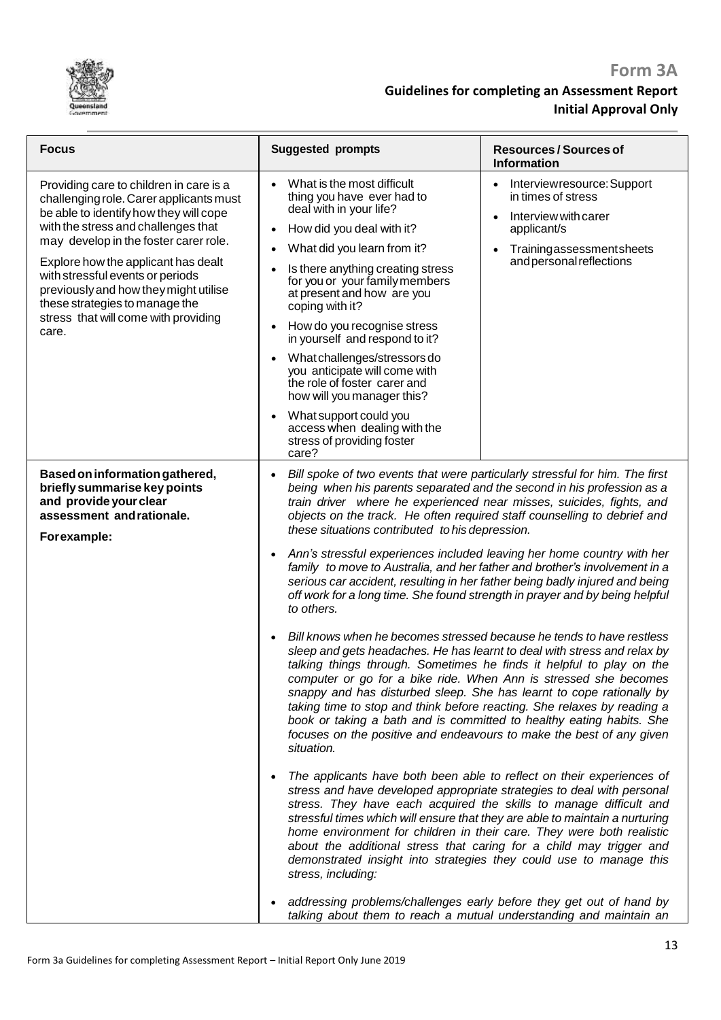

| <b>Focus</b>                                                                                                                                                                                                                                                                                                                                                                                                        | <b>Suggested prompts</b>                                                                                                                                                                                                                                                                                                                                                                                                                                                                                                                                                                                                                                                                                                                                                                                                                                                                                                                                                                                                                                                                                                                                                                                                                                                                                                                                                                                                                                                                                                                                                                                                                                                                                                                                                              | <b>Resources/Sources of</b><br><b>Information</b>                                                                                               |
|---------------------------------------------------------------------------------------------------------------------------------------------------------------------------------------------------------------------------------------------------------------------------------------------------------------------------------------------------------------------------------------------------------------------|---------------------------------------------------------------------------------------------------------------------------------------------------------------------------------------------------------------------------------------------------------------------------------------------------------------------------------------------------------------------------------------------------------------------------------------------------------------------------------------------------------------------------------------------------------------------------------------------------------------------------------------------------------------------------------------------------------------------------------------------------------------------------------------------------------------------------------------------------------------------------------------------------------------------------------------------------------------------------------------------------------------------------------------------------------------------------------------------------------------------------------------------------------------------------------------------------------------------------------------------------------------------------------------------------------------------------------------------------------------------------------------------------------------------------------------------------------------------------------------------------------------------------------------------------------------------------------------------------------------------------------------------------------------------------------------------------------------------------------------------------------------------------------------|-------------------------------------------------------------------------------------------------------------------------------------------------|
| Providing care to children in care is a<br>challenging role. Carer applicants must<br>be able to identify how they will cope<br>with the stress and challenges that<br>may develop in the foster carer role.<br>Explore how the applicant has dealt<br>with stressful events or periods<br>previously and how they might utilise<br>these strategies to manage the<br>stress that will come with providing<br>care. | What is the most difficult<br>thing you have ever had to<br>deal with in your life?<br>How did you deal with it?<br>What did you learn from it?<br>Is there anything creating stress<br>for you or your family members<br>at present and how are you<br>coping with it?<br>How do you recognise stress<br>$\bullet$<br>in yourself and respond to it?<br>What challenges/stressors do<br>you anticipate will come with<br>the role of foster carer and<br>how will you manager this?<br>What support could you<br>access when dealing with the<br>stress of providing foster                                                                                                                                                                                                                                                                                                                                                                                                                                                                                                                                                                                                                                                                                                                                                                                                                                                                                                                                                                                                                                                                                                                                                                                                          | Interviewresource: Support<br>in times of stress<br>Interview with carer<br>applicant/s<br>Trainingassessmentsheets<br>and personal reflections |
| Based on information gathered,<br>briefly summarise key points<br>and provide your clear<br>assessment and rationale.<br>Forexample:                                                                                                                                                                                                                                                                                | care?<br>Bill spoke of two events that were particularly stressful for him. The first<br>being when his parents separated and the second in his profession as a<br>train driver where he experienced near misses, suicides, fights, and<br>objects on the track. He often required staff counselling to debrief and<br>these situations contributed to his depression.<br>Ann's stressful experiences included leaving her home country with her<br>family to move to Australia, and her father and brother's involvement in a<br>serious car accident, resulting in her father being badly injured and being<br>off work for a long time. She found strength in prayer and by being helpful<br>to others.<br>Bill knows when he becomes stressed because he tends to have restless<br>sleep and gets headaches. He has learnt to deal with stress and relax by<br>talking things through. Sometimes he finds it helpful to play on the<br>computer or go for a bike ride. When Ann is stressed she becomes<br>snappy and has disturbed sleep. She has learnt to cope rationally by<br>taking time to stop and think before reacting. She relaxes by reading a<br>book or taking a bath and is committed to healthy eating habits. She<br>focuses on the positive and endeavours to make the best of any given<br>situation.<br>The applicants have both been able to reflect on their experiences of<br>stress and have developed appropriate strategies to deal with personal<br>stress. They have each acquired the skills to manage difficult and<br>stressful times which will ensure that they are able to maintain a nurturing<br>home environment for children in their care. They were both realistic<br>about the additional stress that caring for a child may trigger and |                                                                                                                                                 |
|                                                                                                                                                                                                                                                                                                                                                                                                                     | stress, including:<br>addressing problems/challenges early before they get out of hand by<br>talking about them to reach a mutual understanding and maintain an                                                                                                                                                                                                                                                                                                                                                                                                                                                                                                                                                                                                                                                                                                                                                                                                                                                                                                                                                                                                                                                                                                                                                                                                                                                                                                                                                                                                                                                                                                                                                                                                                       |                                                                                                                                                 |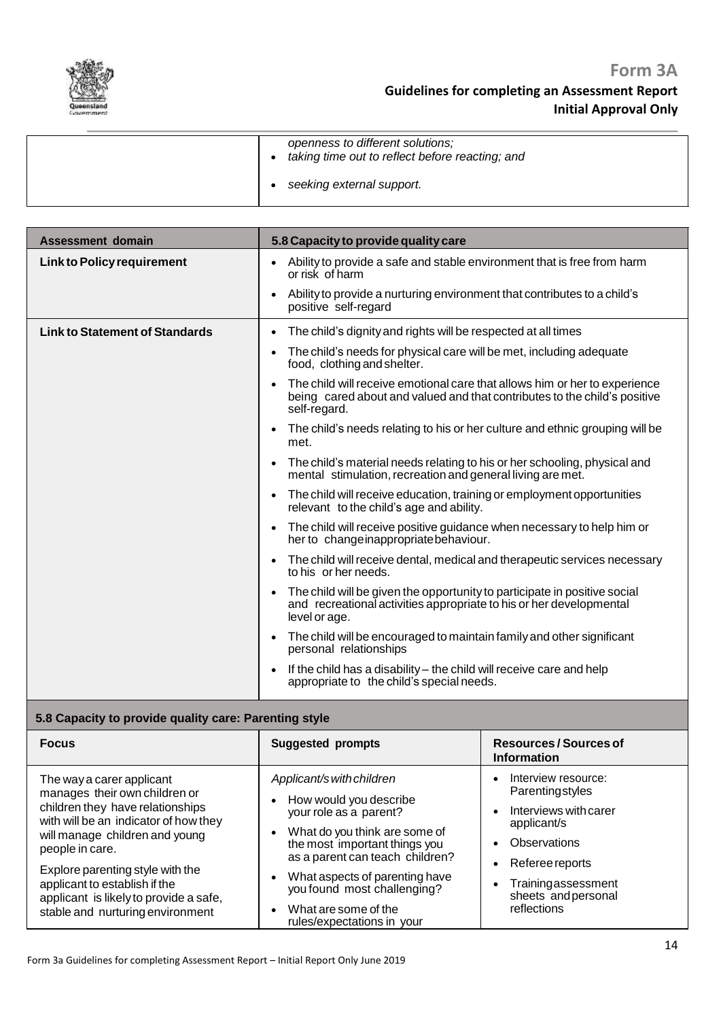

| openness to different solutions;<br>taking time out to reflect before reacting; and |
|-------------------------------------------------------------------------------------|
| seeking external support.                                                           |

| <b>Assessment domain</b>              | 5.8 Capacity to provide quality care                                                                                                                                    |  |
|---------------------------------------|-------------------------------------------------------------------------------------------------------------------------------------------------------------------------|--|
| <b>Link to Policy requirement</b>     | Ability to provide a safe and stable environment that is free from harm<br>or risk of harm                                                                              |  |
|                                       | Ability to provide a nurturing environment that contributes to a child's<br>$\bullet$<br>positive self-regard                                                           |  |
| <b>Link to Statement of Standards</b> | The child's dignity and rights will be respected at all times<br>$\bullet$                                                                                              |  |
|                                       | The child's needs for physical care will be met, including adequate<br>food, clothing and shelter.                                                                      |  |
|                                       | The child will receive emotional care that allows him or her to experience<br>being cared about and valued and that contributes to the child's positive<br>self-regard. |  |
|                                       | The child's needs relating to his or her culture and ethnic grouping will be<br>$\bullet$<br>met.                                                                       |  |
|                                       | The child's material needs relating to his or her schooling, physical and<br>mental stimulation, recreation and general living are met.                                 |  |
|                                       | The child will receive education, training or employment opportunities<br>relevant to the child's age and ability.                                                      |  |
|                                       | The child will receive positive guidance when necessary to help him or<br>$\bullet$<br>her to change inappropriate behaviour.                                           |  |
|                                       | The child will receive dental, medical and therapeutic services necessary<br>to his or her needs.                                                                       |  |
|                                       | The child will be given the opportunity to participate in positive social<br>and recreational activities appropriate to his or her developmental<br>level or age.       |  |
|                                       | The child will be encouraged to maintain family and other significant<br>personal relationships                                                                         |  |
|                                       | If the child has a disability – the child will receive care and help<br>appropriate to the child's special needs.                                                       |  |

### **5.8 Capacity to provide quality care: Parenting style**

| <b>Focus</b>                                                                                                                                                                                                                                                                                                                                    | <b>Suggested prompts</b>                                                                                                                                                                                                                                                                                  | Resources / Sources of<br><b>Information</b>                                                                                                                                  |
|-------------------------------------------------------------------------------------------------------------------------------------------------------------------------------------------------------------------------------------------------------------------------------------------------------------------------------------------------|-----------------------------------------------------------------------------------------------------------------------------------------------------------------------------------------------------------------------------------------------------------------------------------------------------------|-------------------------------------------------------------------------------------------------------------------------------------------------------------------------------|
| The way a carer applicant<br>manages their own children or<br>children they have relationships<br>with will be an indicator of how they<br>will manage children and young<br>people in care.<br>Explore parenting style with the<br>applicant to establish if the<br>applicant is likely to provide a safe,<br>stable and nurturing environment | Applicant/s with children<br>How would you describe<br>your role as a parent?<br>What do you think are some of<br>the most important things you<br>as a parent can teach children?<br>What aspects of parenting have<br>you found most challenging?<br>What are some of the<br>rules/expectations in your | Interview resource:<br>Parentingstyles<br>Interviews with carer<br>applicant/s<br>Observations<br>Referee reports<br>Trainingassessment<br>sheets and personal<br>reflections |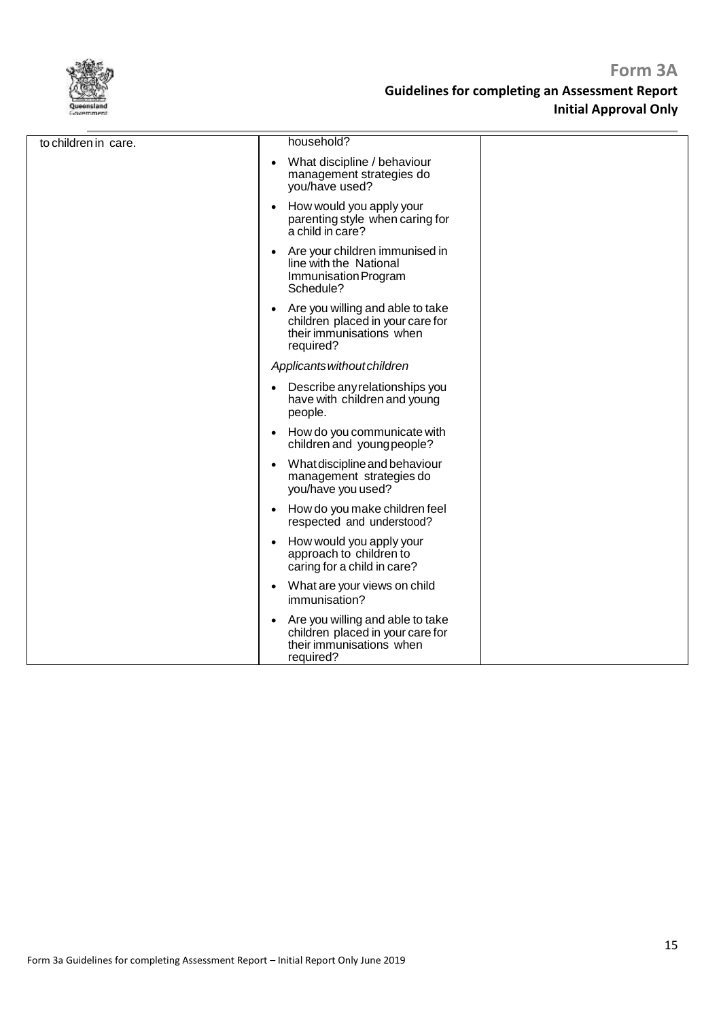

| to children in care. | household?                                                                                                    |
|----------------------|---------------------------------------------------------------------------------------------------------------|
|                      | What discipline / behaviour<br>management strategies do<br>you/have used?                                     |
|                      | How would you apply your<br>parenting style when caring for<br>a child in care?                               |
|                      | Are your children immunised in<br>line with the National<br>Immunisation Program<br>Schedule?                 |
|                      | Are you willing and able to take<br>children placed in your care for<br>their immunisations when<br>required? |
|                      | Applicants without children                                                                                   |
|                      | Describe any relationships you<br>have with children and young<br>people.                                     |
|                      | How do you communicate with<br>children and young people?                                                     |
|                      | What discipline and behaviour<br>management strategies do<br>you/have you used?                               |
|                      | How do you make children feel<br>respected and understood?                                                    |
|                      | How would you apply your<br>approach to children to<br>caring for a child in care?                            |
|                      | What are your views on child<br>immunisation?                                                                 |
|                      | Are you willing and able to take<br>children placed in your care for<br>their immunisations when<br>required? |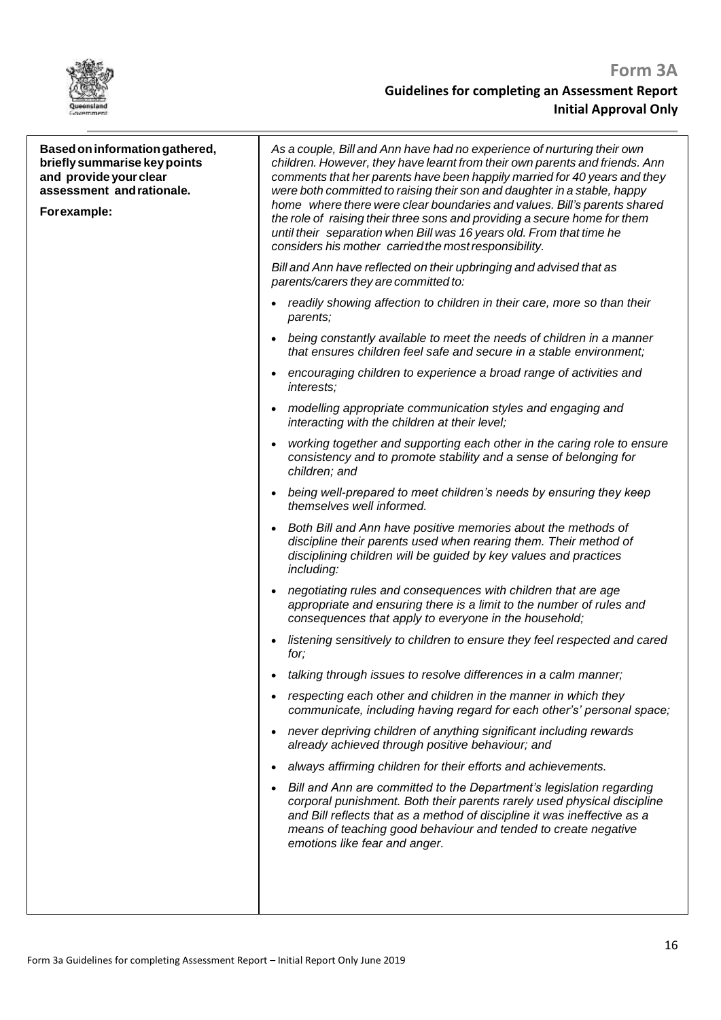

| Based on information gathered,<br>briefly summarise key points<br>and provide your clear<br>assessment and rationale.<br>Forexample: | As a couple, Bill and Ann have had no experience of nurturing their own<br>children. However, they have learnt from their own parents and friends. Ann<br>comments that her parents have been happily married for 40 years and they<br>were both committed to raising their son and daughter in a stable, happy<br>home where there were clear boundaries and values. Bill's parents shared<br>the role of raising their three sons and providing a secure home for them<br>until their separation when Bill was 16 years old. From that time he<br>considers his mother carried the most responsibility. |
|--------------------------------------------------------------------------------------------------------------------------------------|-----------------------------------------------------------------------------------------------------------------------------------------------------------------------------------------------------------------------------------------------------------------------------------------------------------------------------------------------------------------------------------------------------------------------------------------------------------------------------------------------------------------------------------------------------------------------------------------------------------|
|                                                                                                                                      | Bill and Ann have reflected on their upbringing and advised that as<br>parents/carers they are committed to:                                                                                                                                                                                                                                                                                                                                                                                                                                                                                              |
|                                                                                                                                      | readily showing affection to children in their care, more so than their<br>parents;                                                                                                                                                                                                                                                                                                                                                                                                                                                                                                                       |
|                                                                                                                                      | being constantly available to meet the needs of children in a manner<br>$\bullet$<br>that ensures children feel safe and secure in a stable environment;                                                                                                                                                                                                                                                                                                                                                                                                                                                  |
|                                                                                                                                      | encouraging children to experience a broad range of activities and<br>$\bullet$<br><i>interests:</i>                                                                                                                                                                                                                                                                                                                                                                                                                                                                                                      |
|                                                                                                                                      | modelling appropriate communication styles and engaging and<br>interacting with the children at their level;                                                                                                                                                                                                                                                                                                                                                                                                                                                                                              |
|                                                                                                                                      | working together and supporting each other in the caring role to ensure<br>consistency and to promote stability and a sense of belonging for<br>children; and                                                                                                                                                                                                                                                                                                                                                                                                                                             |
|                                                                                                                                      | being well-prepared to meet children's needs by ensuring they keep<br>$\bullet$<br>themselves well informed.                                                                                                                                                                                                                                                                                                                                                                                                                                                                                              |
|                                                                                                                                      | Both Bill and Ann have positive memories about the methods of<br>$\bullet$<br>discipline their parents used when rearing them. Their method of<br>disciplining children will be guided by key values and practices<br>including:                                                                                                                                                                                                                                                                                                                                                                          |
|                                                                                                                                      | negotiating rules and consequences with children that are age<br>appropriate and ensuring there is a limit to the number of rules and<br>consequences that apply to everyone in the household;                                                                                                                                                                                                                                                                                                                                                                                                            |
|                                                                                                                                      | listening sensitively to children to ensure they feel respected and cared<br>$\bullet$<br>for;                                                                                                                                                                                                                                                                                                                                                                                                                                                                                                            |
|                                                                                                                                      | talking through issues to resolve differences in a calm manner;                                                                                                                                                                                                                                                                                                                                                                                                                                                                                                                                           |
|                                                                                                                                      | respecting each other and children in the manner in which they<br>$\bullet$<br>communicate, including having regard for each other's' personal space;                                                                                                                                                                                                                                                                                                                                                                                                                                                     |
|                                                                                                                                      | never depriving children of anything significant including rewards<br>$\bullet$<br>already achieved through positive behaviour; and                                                                                                                                                                                                                                                                                                                                                                                                                                                                       |
|                                                                                                                                      | always affirming children for their efforts and achievements.<br>$\bullet$                                                                                                                                                                                                                                                                                                                                                                                                                                                                                                                                |
|                                                                                                                                      | Bill and Ann are committed to the Department's legislation regarding<br>$\bullet$<br>corporal punishment. Both their parents rarely used physical discipline<br>and Bill reflects that as a method of discipline it was ineffective as a<br>means of teaching good behaviour and tended to create negative<br>emotions like fear and anger.                                                                                                                                                                                                                                                               |
|                                                                                                                                      |                                                                                                                                                                                                                                                                                                                                                                                                                                                                                                                                                                                                           |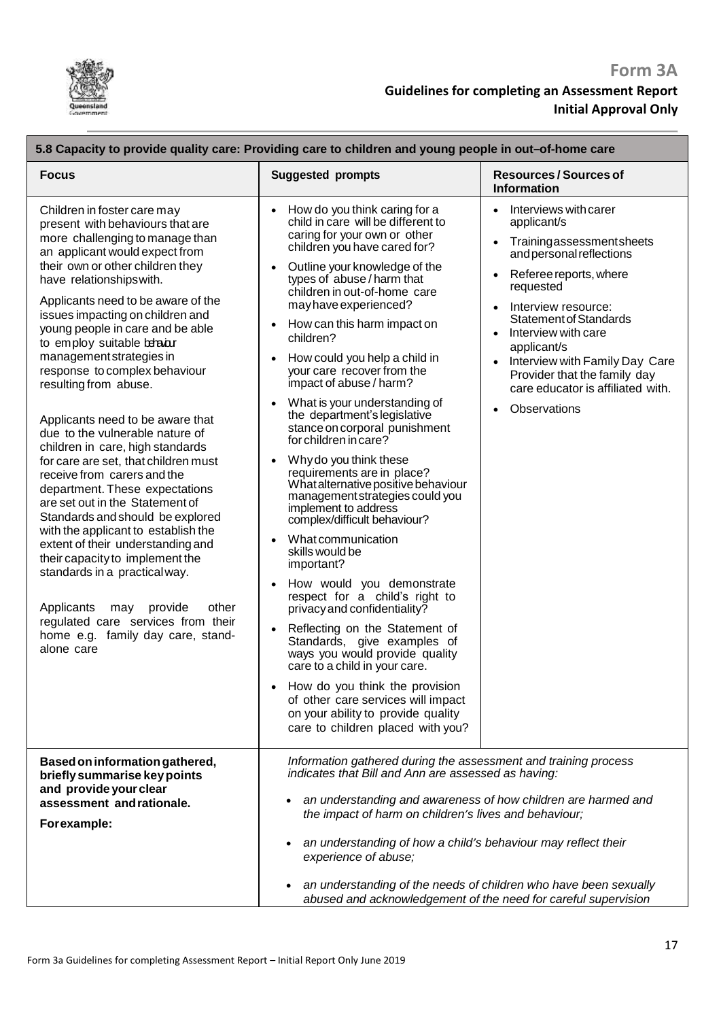

| 5.8 Capacity to provide quality care: Providing care to children and young people in out-of-home care                                                                                                                                                                                                                                                                                                                                                                                                                                                                                                                                                                                                                                                                                                                                                                                                                                                                                                               |                                                                                                                                                                                                                                                                                                                                                                                                                                                                                                                                                                                                                                                                                                                                                                                                                                                                                                                                                                                                                                                                                                                                                                                                          |                                                                                                                                                                                                                                                                                                                                                          |  |
|---------------------------------------------------------------------------------------------------------------------------------------------------------------------------------------------------------------------------------------------------------------------------------------------------------------------------------------------------------------------------------------------------------------------------------------------------------------------------------------------------------------------------------------------------------------------------------------------------------------------------------------------------------------------------------------------------------------------------------------------------------------------------------------------------------------------------------------------------------------------------------------------------------------------------------------------------------------------------------------------------------------------|----------------------------------------------------------------------------------------------------------------------------------------------------------------------------------------------------------------------------------------------------------------------------------------------------------------------------------------------------------------------------------------------------------------------------------------------------------------------------------------------------------------------------------------------------------------------------------------------------------------------------------------------------------------------------------------------------------------------------------------------------------------------------------------------------------------------------------------------------------------------------------------------------------------------------------------------------------------------------------------------------------------------------------------------------------------------------------------------------------------------------------------------------------------------------------------------------------|----------------------------------------------------------------------------------------------------------------------------------------------------------------------------------------------------------------------------------------------------------------------------------------------------------------------------------------------------------|--|
| <b>Focus</b>                                                                                                                                                                                                                                                                                                                                                                                                                                                                                                                                                                                                                                                                                                                                                                                                                                                                                                                                                                                                        | <b>Suggested prompts</b>                                                                                                                                                                                                                                                                                                                                                                                                                                                                                                                                                                                                                                                                                                                                                                                                                                                                                                                                                                                                                                                                                                                                                                                 | <b>Resources/Sources of</b><br><b>Information</b>                                                                                                                                                                                                                                                                                                        |  |
| Children in foster care may<br>present with behaviours that are<br>more challenging to manage than<br>an applicant would expect from<br>their own or other children they<br>have relationships with.<br>Applicants need to be aware of the<br>issues impacting on children and<br>young people in care and be able<br>to employ suitable behabur<br>management strategies in<br>response to complex behaviour<br>resulting from abuse.<br>Applicants need to be aware that<br>due to the vulnerable nature of<br>children in care, high standards<br>for care are set, that children must<br>receive from carers and the<br>department. These expectations<br>are set out in the Statement of<br>Standards and should be explored<br>with the applicant to establish the<br>extent of their understanding and<br>their capacity to implement the<br>standards in a practical way.<br>Applicants<br>other<br>may<br>provide<br>regulated care services from their<br>home e.g. family day care, stand-<br>alone care | How do you think caring for a<br>child in care will be different to<br>caring for your own or other<br>children you have cared for?<br>Outline your knowledge of the<br>types of abuse/harm that<br>children in out-of-home care<br>may have experienced?<br>How can this harm impact on<br>children?<br>How could you help a child in<br>your care recover from the<br>impact of abuse / harm?<br>What is your understanding of<br>$\bullet$<br>the department's legislative<br>stance on corporal punishment<br>for children in care?<br>Why do you think these<br>requirements are in place?<br>What alternative positive behaviour<br>management strategies could you<br>implement to address<br>complex/difficult behaviour?<br>What communication<br>skills would be<br>important?<br>How would you demonstrate<br>$\bullet$<br>respect for a child's right to<br>privacy and confidentiality?<br>Reflecting on the Statement of<br>$\bullet$<br>Standards, give examples of<br>ways you would provide quality<br>care to a child in your care.<br>How do you think the provision<br>of other care services will impact<br>on your ability to provide quality<br>care to children placed with you? | Interviews with carer<br>applicant/s<br>Trainingassessmentsheets<br>and personal reflections<br>Referee reports, where<br>requested<br>Interview resource:<br><b>Statement of Standards</b><br>Interview with care<br>applicant/s<br>Interview with Family Day Care<br>Provider that the family day<br>care educator is affiliated with.<br>Observations |  |
| Based on information gathered,<br>briefly summarise key points<br>and provide your clear<br>assessment and rationale.<br>Forexample:                                                                                                                                                                                                                                                                                                                                                                                                                                                                                                                                                                                                                                                                                                                                                                                                                                                                                | Information gathered during the assessment and training process<br>indicates that Bill and Ann are assessed as having:<br>an understanding and awareness of how children are harmed and<br>the impact of harm on children's lives and behaviour;<br>an understanding of how a child's behaviour may reflect their<br>$\bullet$<br>experience of abuse;<br>an understanding of the needs of children who have been sexually<br>$\bullet$                                                                                                                                                                                                                                                                                                                                                                                                                                                                                                                                                                                                                                                                                                                                                                  |                                                                                                                                                                                                                                                                                                                                                          |  |
|                                                                                                                                                                                                                                                                                                                                                                                                                                                                                                                                                                                                                                                                                                                                                                                                                                                                                                                                                                                                                     | abused and acknowledgement of the need for careful supervision                                                                                                                                                                                                                                                                                                                                                                                                                                                                                                                                                                                                                                                                                                                                                                                                                                                                                                                                                                                                                                                                                                                                           |                                                                                                                                                                                                                                                                                                                                                          |  |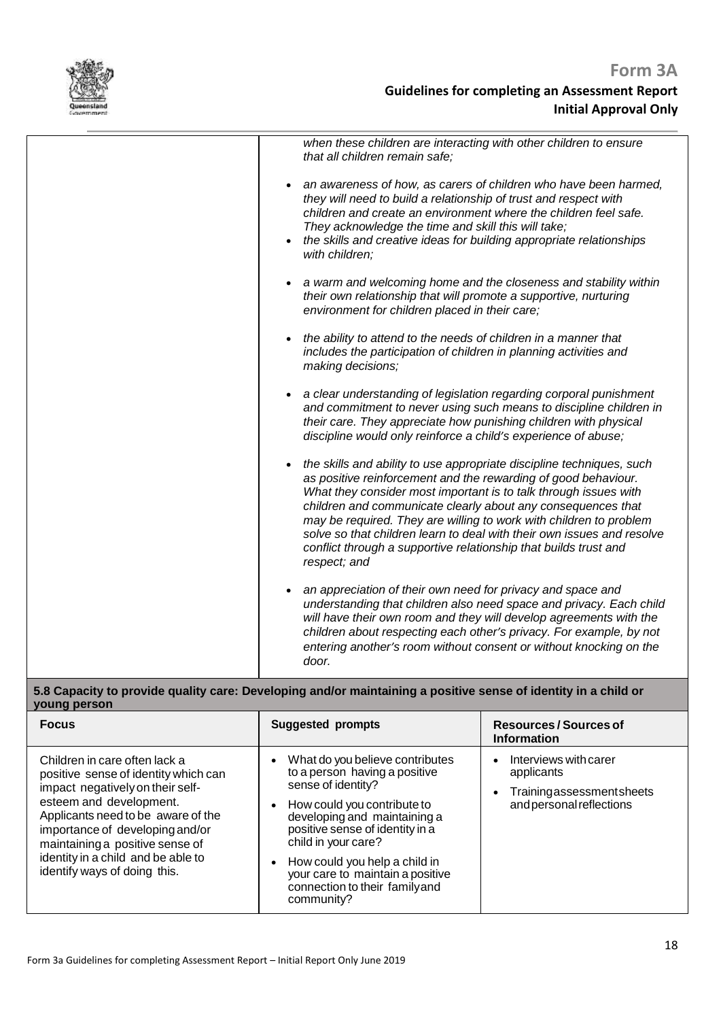

| when these children are interacting with other children to ensure<br>that all children remain safe;                                                                                                                                                                                                                                                                                                                                                                                                             |
|-----------------------------------------------------------------------------------------------------------------------------------------------------------------------------------------------------------------------------------------------------------------------------------------------------------------------------------------------------------------------------------------------------------------------------------------------------------------------------------------------------------------|
| an awareness of how, as carers of children who have been harmed,<br>they will need to build a relationship of trust and respect with<br>children and create an environment where the children feel safe.<br>They acknowledge the time and skill this will take;<br>the skills and creative ideas for building appropriate relationships<br>with children;                                                                                                                                                       |
| a warm and welcoming home and the closeness and stability within<br>their own relationship that will promote a supportive, nurturing<br>environment for children placed in their care;                                                                                                                                                                                                                                                                                                                          |
| the ability to attend to the needs of children in a manner that<br>includes the participation of children in planning activities and<br>making decisions;                                                                                                                                                                                                                                                                                                                                                       |
| a clear understanding of legislation regarding corporal punishment<br>and commitment to never using such means to discipline children in<br>their care. They appreciate how punishing children with physical<br>discipline would only reinforce a child's experience of abuse;                                                                                                                                                                                                                                  |
| the skills and ability to use appropriate discipline techniques, such<br>as positive reinforcement and the rewarding of good behaviour.<br>What they consider most important is to talk through issues with<br>children and communicate clearly about any consequences that<br>may be required. They are willing to work with children to problem<br>solve so that children learn to deal with their own issues and resolve<br>conflict through a supportive relationship that builds trust and<br>respect; and |
| an appreciation of their own need for privacy and space and<br>understanding that children also need space and privacy. Each child<br>will have their own room and they will develop agreements with the<br>children about respecting each other's privacy. For example, by not<br>entering another's room without consent or without knocking on the<br>door.                                                                                                                                                  |

### **5.8 Capacity to provide quality care: Developing and/or maintaining a positive sense of identity in a child or young person**

| <b>Focus</b>                                                                                                                                                                                                                                                                                                           | <b>Suggested prompts</b>                                                                                                                                                                                                                                                                                                            | Resources / Sources of<br><b>Information</b>                                                                          |
|------------------------------------------------------------------------------------------------------------------------------------------------------------------------------------------------------------------------------------------------------------------------------------------------------------------------|-------------------------------------------------------------------------------------------------------------------------------------------------------------------------------------------------------------------------------------------------------------------------------------------------------------------------------------|-----------------------------------------------------------------------------------------------------------------------|
| Children in care often lack a<br>positive sense of identity which can<br>impact negatively on their self-<br>esteem and development.<br>Applicants need to be aware of the<br>importance of developing and/or<br>maintaining a positive sense of<br>identity in a child and be able to<br>identify ways of doing this. | What do you believe contributes<br>to a person having a positive<br>sense of identity?<br>How could you contribute to<br>developing and maintaining a<br>positive sense of identity in a<br>child in your care?<br>How could you help a child in<br>your care to maintain a positive<br>connection to their familyand<br>community? | Interviews with carer<br>$\bullet$<br>applicants<br>Trainingassessmentsheets<br>$\bullet$<br>and personal reflections |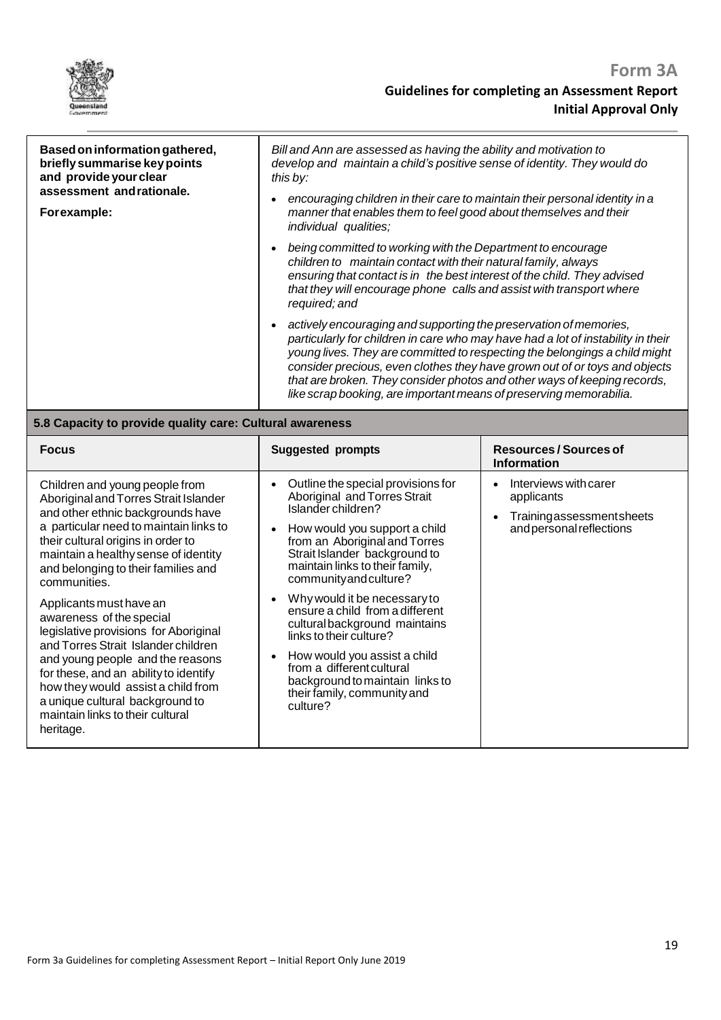

| Based on information gathered,<br>briefly summarise key points<br>and provide your clear<br>assessment and rationale.<br>Forexample:                                                                                                                                        | Bill and Ann are assessed as having the ability and motivation to<br>develop and maintain a child's positive sense of identity. They would do<br>this by:<br>encouraging children in their care to maintain their personal identity in a<br>manner that enables them to feel good about themselves and their<br>individual qualities;<br>being committed to working with the Department to encourage<br>children to maintain contact with their natural family, always<br>ensuring that contact is in the best interest of the child. They advised<br>that they will encourage phone calls and assist with transport where<br>required; and<br>actively encouraging and supporting the preservation of memories,<br>particularly for children in care who may have had a lot of instability in their<br>that are broken. They consider photos and other ways of keeping records,<br>like scrap booking, are important means of preserving memorabilia. | young lives. They are committed to respecting the belongings a child might<br>consider precious, even clothes they have grown out of or toys and objects |
|-----------------------------------------------------------------------------------------------------------------------------------------------------------------------------------------------------------------------------------------------------------------------------|--------------------------------------------------------------------------------------------------------------------------------------------------------------------------------------------------------------------------------------------------------------------------------------------------------------------------------------------------------------------------------------------------------------------------------------------------------------------------------------------------------------------------------------------------------------------------------------------------------------------------------------------------------------------------------------------------------------------------------------------------------------------------------------------------------------------------------------------------------------------------------------------------------------------------------------------------------|----------------------------------------------------------------------------------------------------------------------------------------------------------|
| 5.8 Capacity to provide quality care: Cultural awareness                                                                                                                                                                                                                    |                                                                                                                                                                                                                                                                                                                                                                                                                                                                                                                                                                                                                                                                                                                                                                                                                                                                                                                                                        |                                                                                                                                                          |
| <b>Focus</b>                                                                                                                                                                                                                                                                | <b>Suggested prompts</b>                                                                                                                                                                                                                                                                                                                                                                                                                                                                                                                                                                                                                                                                                                                                                                                                                                                                                                                               | <b>Resources/Sources of</b><br><b>Information</b>                                                                                                        |
| Children and young people from<br>Aboriginal and Torres Strait Islander<br>and other ethnic backgrounds have<br>a particular need to maintain links to<br>their cultural origins in order to<br>maintain a healthy sense of identity<br>and belonging to their families and | Outline the special provisions for<br>Aboriginal and Torres Strait<br>Islander children?<br>How would you support a child<br>from an Aboriginal and Torres<br>Strait Islander background to<br>maintain links to their family,                                                                                                                                                                                                                                                                                                                                                                                                                                                                                                                                                                                                                                                                                                                         | Interviews with carer<br>applicants<br>Trainingassessmentsheets<br>and personal reflections                                                              |

| communities.                                                                                                                                                                                                                                                                                                                               | community and culture?                                                                                                                                                                                                                                                 |
|--------------------------------------------------------------------------------------------------------------------------------------------------------------------------------------------------------------------------------------------------------------------------------------------------------------------------------------------|------------------------------------------------------------------------------------------------------------------------------------------------------------------------------------------------------------------------------------------------------------------------|
| Applicants must have an<br>awareness of the special<br>legislative provisions for Aboriginal<br>and Torres Strait Islander children<br>and young people and the reasons<br>for these, and an ability to identify<br>how they would assist a child from<br>a unique cultural background to<br>maintain links to their cultural<br>heritage. | Why would it be necessary to<br>ensure a child from a different<br>cultural background maintains<br>links to their culture?<br>How would you assist a child<br>from a different cultural<br>background to maintain links to<br>their family, community and<br>culture? |
|                                                                                                                                                                                                                                                                                                                                            |                                                                                                                                                                                                                                                                        |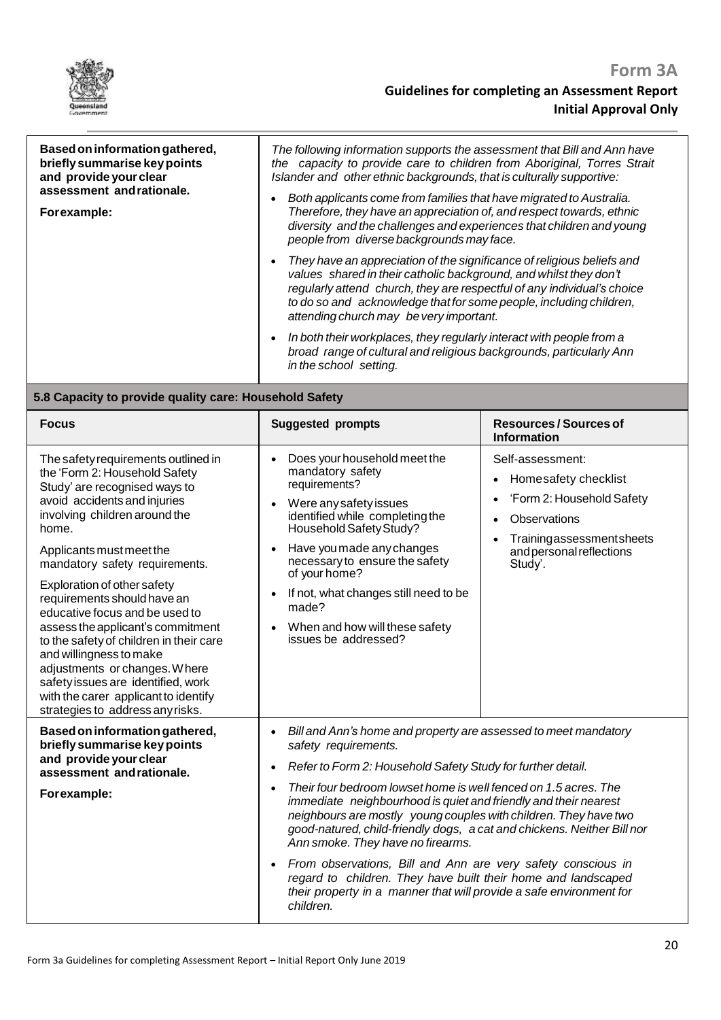

| Based on information gathered,<br>briefly summarise key points<br>and provide your clear<br>assessment and rationale.<br>Forexample:                                            | The following information supports the assessment that Bill and Ann have<br>the capacity to provide care to children from Aboriginal, Torres Strait<br>Islander and other ethnic backgrounds, that is culturally supportive:<br>Both applicants come from families that have migrated to Australia.<br>Therefore, they have an appreciation of, and respect towards, ethnic<br>diversity and the challenges and experiences that children and young<br>people from diverse backgrounds may face.<br>They have an appreciation of the significance of religious beliefs and<br>values shared in their catholic background, and whilst they don't<br>regularly attend church, they are respectful of any individual's choice<br>to do so and acknowledge that for some people, including children,<br>attending church may be very important.<br>In both their workplaces, they regularly interact with people from a<br>broad range of cultural and religious backgrounds, particularly Ann<br>in the school setting. |                                                                                                                                                                       |
|---------------------------------------------------------------------------------------------------------------------------------------------------------------------------------|----------------------------------------------------------------------------------------------------------------------------------------------------------------------------------------------------------------------------------------------------------------------------------------------------------------------------------------------------------------------------------------------------------------------------------------------------------------------------------------------------------------------------------------------------------------------------------------------------------------------------------------------------------------------------------------------------------------------------------------------------------------------------------------------------------------------------------------------------------------------------------------------------------------------------------------------------------------------------------------------------------------------|-----------------------------------------------------------------------------------------------------------------------------------------------------------------------|
| 5.8 Capacity to provide quality care: Household Safety                                                                                                                          |                                                                                                                                                                                                                                                                                                                                                                                                                                                                                                                                                                                                                                                                                                                                                                                                                                                                                                                                                                                                                      |                                                                                                                                                                       |
| <b>Focus</b>                                                                                                                                                                    | <b>Suggested prompts</b>                                                                                                                                                                                                                                                                                                                                                                                                                                                                                                                                                                                                                                                                                                                                                                                                                                                                                                                                                                                             | <b>Resources/Sources of</b><br><b>Information</b>                                                                                                                     |
| The safety requirements outlined in<br>the 'Form 2: Household Safety<br>Study' are recognised ways to<br>avoid accidents and injuries<br>involving children around the<br>home. | Does your household meet the<br>mandatory safety<br>requirements?<br>Were any safety issues<br>identified while completing the<br>Household Safety Study?<br>the contract of the contract of the contract of the contract of the contract of                                                                                                                                                                                                                                                                                                                                                                                                                                                                                                                                                                                                                                                                                                                                                                         | Self-assessment:<br>Homesafety checklist<br>$\bullet$<br>'Form 2: Household Safety<br>$\bullet$<br>Observations<br>$\bullet$<br>Trainingassessmentsheets<br>$\bullet$ |

| Applicants must meet the<br>mandatory safety requirements.<br>Exploration of other safety<br>requirements should have an<br>educative focus and be used to<br>assess the applicant's commitment<br>to the safety of children in their care<br>and willingness to make<br>adjustments or changes. Where<br>safety issues are identified, work<br>with the carer applicant to identify<br>strategies to address any risks. | Have you made any changes<br>$\bullet$<br>necessary to ensure the safety<br>of your home?<br>If not, what changes still need to be<br>$\bullet$<br>made?<br>When and how will these safety<br>issues be addressed?                                                                                                                                                                                                                                                                                                                                                                                                                                                                                                                                        | <u>Hall lingassessi Hentsheets</u><br>and personal reflections<br>Study'. |
|--------------------------------------------------------------------------------------------------------------------------------------------------------------------------------------------------------------------------------------------------------------------------------------------------------------------------------------------------------------------------------------------------------------------------|-----------------------------------------------------------------------------------------------------------------------------------------------------------------------------------------------------------------------------------------------------------------------------------------------------------------------------------------------------------------------------------------------------------------------------------------------------------------------------------------------------------------------------------------------------------------------------------------------------------------------------------------------------------------------------------------------------------------------------------------------------------|---------------------------------------------------------------------------|
| Based on information gathered,<br>briefly summarise key points<br>and provide your clear<br>assessment andrationale.<br>Forexample:                                                                                                                                                                                                                                                                                      | Bill and Ann's home and property are assessed to meet mandatory<br>$\bullet$<br>safety requirements.<br>Refer to Form 2: Household Safety Study for further detail.<br>$\bullet$<br>Their four bedroom lowset home is well fenced on 1.5 acres. The<br>$\bullet$<br>immediate neighbourhood is quiet and friendly and their nearest<br>neighbours are mostly young couples with children. They have two<br>good-natured, child-friendly dogs, a cat and chickens. Neither Bill nor<br>Ann smoke. They have no firearms.<br>From observations, Bill and Ann are very safety conscious in<br>$\bullet$<br>regard to children. They have built their home and landscaped<br>their property in a manner that will provide a safe environment for<br>children. |                                                                           |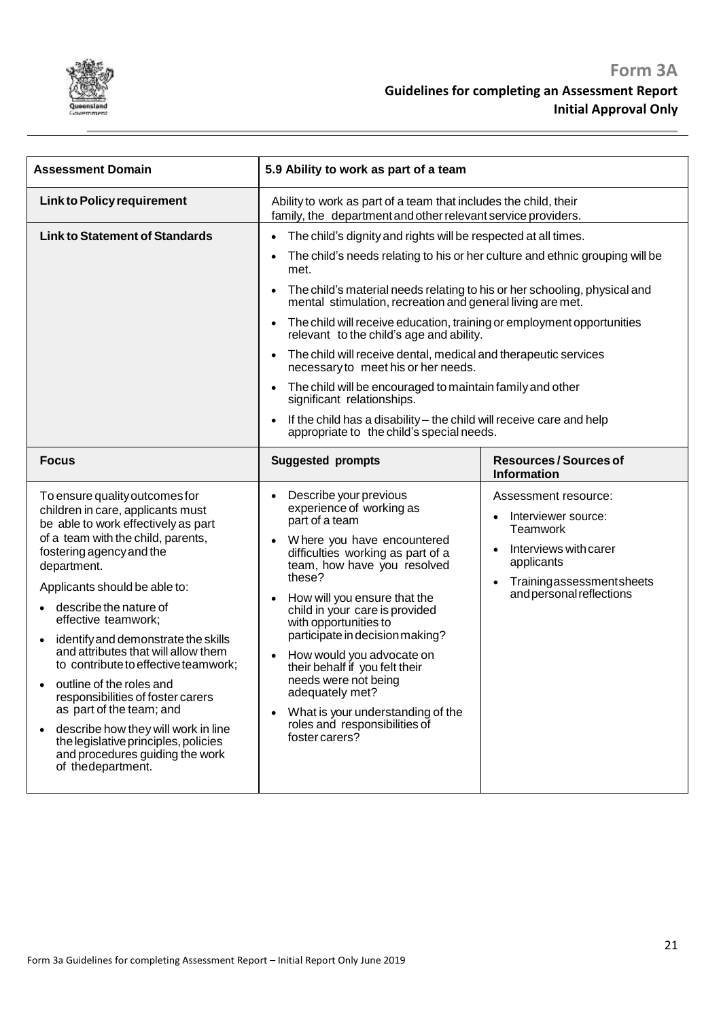

| <b>Assessment Domain</b>                                                                                                                                                                                                                                                                                                                                                                                                                                                                                                                                                                                                                              | 5.9 Ability to work as part of a team                                                                                                                                                                                                                                                                                                                                                                                                                                                                                                                                                                                                                                                                                                             |                                                                                                                                                                            |
|-------------------------------------------------------------------------------------------------------------------------------------------------------------------------------------------------------------------------------------------------------------------------------------------------------------------------------------------------------------------------------------------------------------------------------------------------------------------------------------------------------------------------------------------------------------------------------------------------------------------------------------------------------|---------------------------------------------------------------------------------------------------------------------------------------------------------------------------------------------------------------------------------------------------------------------------------------------------------------------------------------------------------------------------------------------------------------------------------------------------------------------------------------------------------------------------------------------------------------------------------------------------------------------------------------------------------------------------------------------------------------------------------------------------|----------------------------------------------------------------------------------------------------------------------------------------------------------------------------|
| <b>Link to Policy requirement</b>                                                                                                                                                                                                                                                                                                                                                                                                                                                                                                                                                                                                                     | Ability to work as part of a team that includes the child, their<br>family, the department and other relevant service providers.                                                                                                                                                                                                                                                                                                                                                                                                                                                                                                                                                                                                                  |                                                                                                                                                                            |
| <b>Link to Statement of Standards</b>                                                                                                                                                                                                                                                                                                                                                                                                                                                                                                                                                                                                                 | The child's dignity and rights will be respected at all times.<br>The child's needs relating to his or her culture and ethnic grouping will be<br>met.<br>The child's material needs relating to his or her schooling, physical and<br>mental stimulation, recreation and general living are met.<br>The child will receive education, training or employment opportunities<br>relevant to the child's age and ability.<br>The child will receive dental, medical and therapeutic services<br>necessary to meet his or her needs.<br>The child will be encouraged to maintain family and other<br>significant relationships.<br>If the child has a disability - the child will receive care and help<br>appropriate to the child's special needs. |                                                                                                                                                                            |
| <b>Focus</b>                                                                                                                                                                                                                                                                                                                                                                                                                                                                                                                                                                                                                                          | <b>Suggested prompts</b>                                                                                                                                                                                                                                                                                                                                                                                                                                                                                                                                                                                                                                                                                                                          | <b>Resources/Sources of</b><br>Information                                                                                                                                 |
| To ensure quality outcomes for<br>children in care, applicants must<br>be able to work effectively as part<br>of a team with the child, parents,<br>fostering agency and the<br>department.<br>Applicants should be able to:<br>describe the nature of<br>effective teamwork;<br>identify and demonstrate the skills<br>and attributes that will allow them<br>to contribute to effective teamwork;<br>outline of the roles and<br>responsibilities of foster carers<br>as part of the team; and<br>describe how they will work in line<br>$\bullet$<br>the legislative principles, policies<br>and procedures guiding the work<br>of the department. | Describe your previous<br>experience of working as<br>part of a team<br>Where you have encountered<br>difficulties working as part of a<br>team, how have you resolved<br>these?<br>How will you ensure that the<br>child in your care is provided<br>with opportunities to<br>participate in decision making?<br>How would you advocate on<br>their behalf if you felt their<br>needs were not being<br>adequately met?<br>What is your understanding of the<br>roles and responsibilities of<br>foster carers?                                                                                                                                                                                                                                  | Assessment resource:<br>Interviewer source:<br>$\bullet$<br><b>Teamwork</b><br>Interviews with carer<br>applicants<br>Trainingassessmentsheets<br>and personal reflections |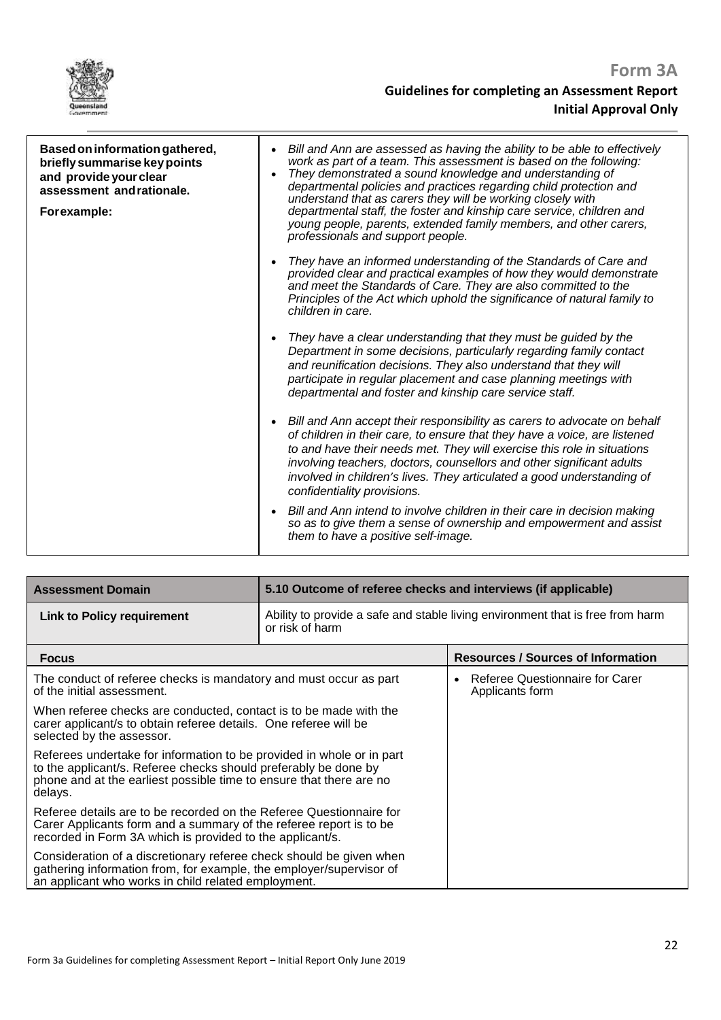

| Based on information gathered,<br>briefly summarise key points<br>and provide your clear<br>assessment and rationale.<br>Forexample: | Bill and Ann are assessed as having the ability to be able to effectively<br>$\bullet$<br>work as part of a team. This assessment is based on the following:<br>They demonstrated a sound knowledge and understanding of<br>$\bullet$<br>departmental policies and practices regarding child protection and<br>understand that as carers they will be working closely with<br>departmental staff, the foster and kinship care service, children and<br>young people, parents, extended family members, and other carers,<br>professionals and support people. |
|--------------------------------------------------------------------------------------------------------------------------------------|---------------------------------------------------------------------------------------------------------------------------------------------------------------------------------------------------------------------------------------------------------------------------------------------------------------------------------------------------------------------------------------------------------------------------------------------------------------------------------------------------------------------------------------------------------------|
|                                                                                                                                      | They have an informed understanding of the Standards of Care and<br>provided clear and practical examples of how they would demonstrate<br>and meet the Standards of Care. They are also committed to the<br>Principles of the Act which uphold the significance of natural family to<br>children in care.                                                                                                                                                                                                                                                    |
|                                                                                                                                      | They have a clear understanding that they must be guided by the<br>Department in some decisions, particularly regarding family contact<br>and reunification decisions. They also understand that they will<br>participate in regular placement and case planning meetings with<br>departmental and foster and kinship care service staff.                                                                                                                                                                                                                     |
|                                                                                                                                      | Bill and Ann accept their responsibility as carers to advocate on behalf<br>$\bullet$<br>of children in their care, to ensure that they have a voice, are listened<br>to and have their needs met. They will exercise this role in situations<br>involving teachers, doctors, counsellors and other significant adults<br>involved in children's lives. They articulated a good understanding of<br>confidentiality provisions.                                                                                                                               |
|                                                                                                                                      | Bill and Ann intend to involve children in their care in decision making<br>so as to give them a sense of ownership and empowerment and assist<br>them to have a positive self-image.                                                                                                                                                                                                                                                                                                                                                                         |

| <b>Assessment Domain</b>                                                                                                                                                                                                   | 5.10 Outcome of referee checks and interviews (if applicable)                                     |                                                                 |
|----------------------------------------------------------------------------------------------------------------------------------------------------------------------------------------------------------------------------|---------------------------------------------------------------------------------------------------|-----------------------------------------------------------------|
| <b>Link to Policy requirement</b>                                                                                                                                                                                          | Ability to provide a safe and stable living environment that is free from harm<br>or risk of harm |                                                                 |
| <b>Focus</b>                                                                                                                                                                                                               |                                                                                                   | <b>Resources / Sources of Information</b>                       |
| The conduct of referee checks is mandatory and must occur as part<br>of the initial assessment.                                                                                                                            |                                                                                                   | Referee Questionnaire for Carer<br>$\bullet$<br>Applicants form |
| When referee checks are conducted, contact is to be made with the<br>carer applicant/s to obtain referee details. One referee will be<br>selected by the assessor.                                                         |                                                                                                   |                                                                 |
| Referees undertake for information to be provided in whole or in part<br>to the applicant/s. Referee checks should preferably be done by<br>phone and at the earliest possible time to ensure that there are no<br>delays. |                                                                                                   |                                                                 |
| Referee details are to be recorded on the Referee Questionnaire for<br>Carer Applicants form and a summary of the referee report is to be<br>recorded in Form 3A which is provided to the applicant/s.                     |                                                                                                   |                                                                 |
| Consideration of a discretionary referee check should be given when<br>gathering information from, for example, the employer/supervisor of<br>an applicant who works in child related employment.                          |                                                                                                   |                                                                 |